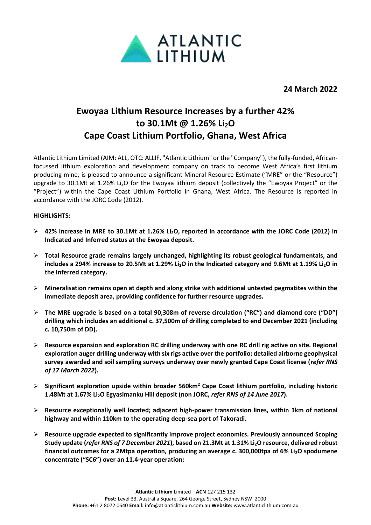

**24 March 2022**

# **Ewoyaa Lithium Resource Increases by a further 42% to 30.1Mt @ 1.26% Li2O Cape Coast Lithium Portfolio, Ghana, West Africa**

Atlantic Lithium Limited (AIM: ALL, OTC: ALLIF, "Atlantic Lithium" or the "Company"), the fully-funded, Africanfocussed lithium exploration and development company on track to become West Africa's first lithium producing mine, is pleased to announce a significant Mineral Resource Estimate ("MRE" or the "Resource") upgrade to 30.1Mt at 1.26% Li<sub>2</sub>O for the Ewoyaa lithium deposit (collectively the "Ewoyaa Project" or the "Project") within the Cape Coast Lithium Portfolio in Ghana, West Africa. The Resource is reported in accordance with the JORC Code (2012).

# **HIGHLIGHTS:**

- ➢ **42% increase in MRE to 30.1Mt at 1.26% Li2O, reported in accordance with the JORC Code (2012) in Indicated and Inferred status at the Ewoyaa deposit.**
- ➢ **Total Resource grade remains largely unchanged, highlighting its robust geological fundamentals, and includes a 294% increase to 20.5Mt at 1.29% Li2O in the Indicated category and 9.6Mt at 1.19% Li2O in the Inferred category.**
- ➢ **Mineralisation remains open at depth and along strike with additional untested pegmatites within the immediate deposit area, providing confidence for further resource upgrades.**
- ➢ **The MRE upgrade is based on a total 90,308m of reverse circulation ("RC") and diamond core ("DD") drilling which includes an additional c. 37,500m of drilling completed to end December 2021 (including c. 10,750m of DD).**
- ➢ **Resource expansion and exploration RC drilling underway with one RC drill rig active on site. Regional exploration auger drilling underway with six rigs active over the portfolio; detailed airborne geophysical survey awarded and soil sampling surveys underway over newly granted Cape Coast license (***refer RNS of 17 March 2022***).**
- ➢ **Significant exploration upside within broader 560km<sup>2</sup> Cape Coast lithium portfolio, including historic 1.48Mt at 1.67% Li2O Egyasimanku Hill deposit (non JORC,** *refer RNS of 14 June 2017***).**
- ➢ **Resource exceptionally well located; adjacent high-power transmission lines, within 1km of national highway and within 110km to the operating deep-sea port of Takoradi.**
- ➢ **Resource upgrade expected to significantly improve project economics. Previously announced Scoping Study update (***refer RNS of 7 December 2021***), based on 21.3Mt at 1.31% Li2O resource, delivered robust financial outcomes for a 2Mtpa operation, producing an average c. 300,000tpa of 6% Li2O spodumene concentrate ("SC6") over an 11.4-year operation:**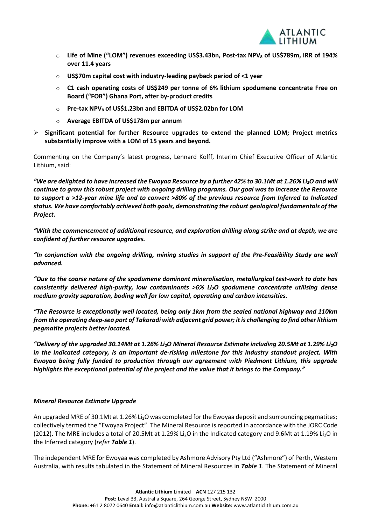

- o **Life of Mine ("LOM") revenues exceeding US\$3.43bn, Post-tax NPV<sup>8</sup> of US\$789m, IRR of 194% over 11.4 years**
- o **US\$70m capital cost with industry-leading payback period of <1 year**
- o **C1 cash operating costs of US\$249 per tonne of 6% lithium spodumene concentrate Free on Board ("FOB") Ghana Port, after by-product credits**
- o **Pre-tax NPV<sup>8</sup> of US\$1.23bn and EBITDA of US\$2.02bn for LOM**
- o **Average EBITDA of US\$178m per annum**
- ➢ **Significant potential for further Resource upgrades to extend the planned LOM; Project metrics substantially improve with a LOM of 15 years and beyond.**

Commenting on the Company's latest progress, Lennard Kolff, Interim Chief Executive Officer of Atlantic Lithium, said:

*"We are delighted to have increased the Ewoyaa Resource by a further 42% to 30.1Mt at 1.26% Li2O and will continue to grow this robust project with ongoing drilling programs. Our goal was to increase the Resource to support a >12-year mine life and to convert >80% of the previous resource from Inferred to Indicated status. We have comfortably achieved both goals, demonstrating the robust geological fundamentals of the Project.*

*"With the commencement of additional resource, and exploration drilling along strike and at depth, we are confident of further resource upgrades.*

*"In conjunction with the ongoing drilling, mining studies in support of the Pre-Feasibility Study are well advanced.*

*"Due to the coarse nature of the spodumene dominant mineralisation, metallurgical test-work to date has consistently delivered high-purity, low contaminants >6% Li2O spodumene concentrate utilising dense medium gravity separation, boding well for low capital, operating and carbon intensities.* 

*"The Resource is exceptionally well located, being only 1km from the sealed national highway and 110km from the operating deep-sea port of Takoradi with adjacent grid power; it is challenging to find other lithium pegmatite projects better located.*

*"Delivery of the upgraded 30.14Mt at 1.26% Li2O Mineral Resource Estimate including 20.5Mt at 1.29% Li2O in the Indicated category, is an important de-risking milestone for this industry standout project. With Ewoyaa being fully funded to production through our agreement with Piedmont Lithium, this upgrade highlights the exceptional potential of the project and the value that it brings to the Company."*

## *Mineral Resource Estimate Upgrade*

An upgraded MRE of 30.1Mt at 1.26% Li<sub>2</sub>O was completed for the Ewoyaa deposit and surrounding pegmatites; collectively termed the "Ewoyaa Project". The Mineral Resource is reported in accordance with the JORC Code (2012). The MRE includes a total of 20.5Mt at 1.29% Li2O in the Indicated category and 9.6Mt at 1.19% Li2O in the Inferred category (*refer Table 1*).

The independent MRE for Ewoyaa was completed by Ashmore Advisory Pty Ltd ("Ashmore") of Perth, Western Australia, with results tabulated in the Statement of Mineral Resources in *Table 1*. The Statement of Mineral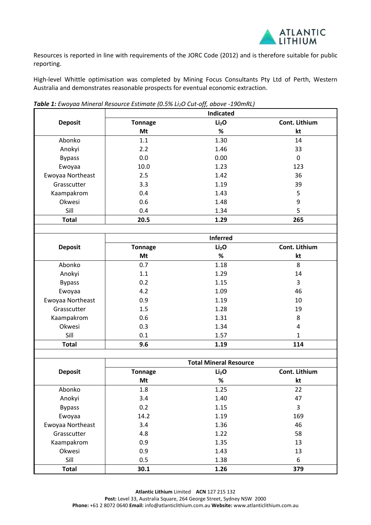

Resources is reported in line with requirements of the JORC Code (2012) and is therefore suitable for public reporting.

High-level Whittle optimisation was completed by Mining Focus Consultants Pty Ltd of Perth, Western Australia and demonstrates reasonable prospects for eventual economic extraction.

|                  |                | Indicated         |               |
|------------------|----------------|-------------------|---------------|
| <b>Deposit</b>   | <b>Tonnage</b> | Li <sub>2</sub> O | Cont. Lithium |
|                  | Mt             | %                 | kt            |
| Abonko           | 1.1            | 1.30              | 14            |
| Anokyi           | 2.2            | 1.46              | 33            |
| <b>Bypass</b>    | 0.0            | 0.00              | 0             |
| Ewoyaa           | 10.0           | 1.23              | 123           |
| Ewoyaa Northeast | 2.5            | 1.42              | 36            |
| Grasscutter      | 3.3            | 1.19              | 39            |
| Kaampakrom       | 0.4            | 1.43              | 5             |
| Okwesi           | 0.6            | 1.48              | 9             |
| Sill             | 0.4            | 1.34              | 5             |
| <b>Total</b>     | 20.5           | 1.29              | 265           |

*Table 1: Ewoyaa Mineral Resource Estimate (0.5% Li2O Cut-off, above -190mRL)*

|                  |                | <b>Inferred</b>   |               |
|------------------|----------------|-------------------|---------------|
| <b>Deposit</b>   | <b>Tonnage</b> | Li <sub>2</sub> O | Cont. Lithium |
|                  | Mt             | %                 | kt            |
| Abonko           | 0.7            | 1.18              | 8             |
| Anokyi           | 1.1            | 1.29              | 14            |
| <b>Bypass</b>    | 0.2            | 1.15              | 3             |
| Ewoyaa           | 4.2            | 1.09              | 46            |
| Ewoyaa Northeast | 0.9            | 1.19              | 10            |
| Grasscutter      | 1.5            | 1.28              | 19            |
| Kaampakrom       | 0.6            | 1.31              | 8             |
| Okwesi           | 0.3            | 1.34              | 4             |
| Sill             | 0.1            | 1.57              | $\mathbf{1}$  |
| <b>Total</b>     | 9.6            | 1.19              | 114           |

|                  | <b>Total Mineral Resource</b> |                   |               |  |
|------------------|-------------------------------|-------------------|---------------|--|
| <b>Deposit</b>   | <b>Tonnage</b>                | Li <sub>2</sub> O | Cont. Lithium |  |
|                  | Mt                            | %                 | kt            |  |
| Abonko           | 1.8                           | 1.25              | 22            |  |
| Anokyi           | 3.4                           | 1.40              | 47            |  |
| <b>Bypass</b>    | 0.2                           | 1.15              | 3             |  |
| Ewoyaa           | 14.2                          | 1.19              | 169           |  |
| Ewoyaa Northeast | 3.4                           | 1.36              | 46            |  |
| Grasscutter      | 4.8                           | 1.22              | 58            |  |
| Kaampakrom       | 0.9                           | 1.35              | 13            |  |
| Okwesi           | 0.9                           | 1.43              | 13            |  |
| Sill             | 0.5                           | 1.38              | 6             |  |
| <b>Total</b>     | 30.1                          | 1.26              | 379           |  |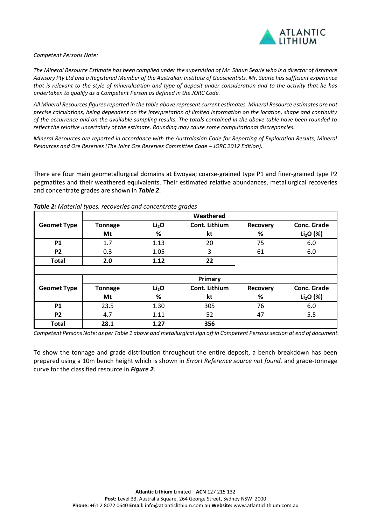

*Competent Persons Note:*

*The Mineral Resource Estimate has been compiled under the supervision of Mr. Shaun Searle who is a director of Ashmore Advisory Pty Ltd and a Registered Member of the Australian Institute of Geoscientists. Mr. Searle has sufficient experience that is relevant to the style of mineralisation and type of deposit under consideration and to the activity that he has undertaken to qualify as a Competent Person as defined in the JORC Code.* 

*All Mineral Resources figures reported in the table above represent current estimates. Mineral Resource estimates are not precise calculations, being dependent on the interpretation of limited information on the location, shape and continuity of the occurrence and on the available sampling results. The totals contained in the above table have been rounded to reflect the relative uncertainty of the estimate. Rounding may cause some computational discrepancies.* 

*Mineral Resources are reported in accordance with the Australasian Code for Reporting of Exploration Results, Mineral Resources and Ore Reserves (The Joint Ore Reserves Committee Code – JORC 2012 Edition).*

There are four main geometallurgical domains at Ewoyaa; coarse-grained type P1 and finer-grained type P2 pegmatites and their weathered equivalents. Their estimated relative abundances, metallurgical recoveries and concentrate grades are shown in *Table 2*.

|                    |                |                   | Weathered     |                 |                    |
|--------------------|----------------|-------------------|---------------|-----------------|--------------------|
| <b>Geomet Type</b> | <b>Tonnage</b> | Li <sub>2</sub> O | Cont. Lithium | <b>Recovery</b> | <b>Conc. Grade</b> |
|                    | Mt             | %                 | kt            | %               | $Li2O$ (%)         |
| <b>P1</b>          | 1.7            | 1.13              | 20            | 75              | 6.0                |
| P <sub>2</sub>     | 0.3            | 1.05              | 3             | 61              | 6.0                |
| <b>Total</b>       | 2.0            | 1.12              | 22            |                 |                    |
|                    |                |                   |               |                 |                    |
|                    |                |                   | Primary       |                 |                    |
| <b>Geomet Type</b> | <b>Tonnage</b> | Li <sub>2</sub> O | Cont. Lithium | <b>Recovery</b> | Conc. Grade        |
|                    | Mt             | %                 | kt            | %               | $Li2O$ (%)         |
| <b>P1</b>          | 23.5           | 1.30              | 305           | 76              | 6.0                |
| P <sub>2</sub>     | 4.7            | 1.11              | 52            | 47              | 5.5                |
| <b>Total</b>       | 28.1           | 1.27              | 356           |                 |                    |

*Table 2: Material types, recoveries and concentrate grades*

*Competent Persons Note: as per Table 1 above and metallurgical sign off in Competent Persons section at end of document.*

To show the tonnage and grade distribution throughout the entire deposit, a bench breakdown has been prepared using a 10m bench height which is shown in *Error! Reference source not found.* and grade-tonnage curve for the classified resource in *Figure 2*.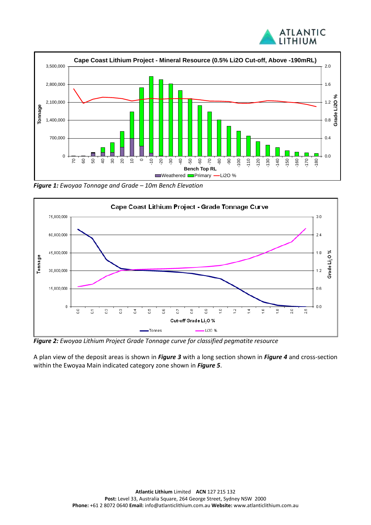



*Figure 1: Ewoyaa Tonnage and Grade – 10m Bench Elevation*



*Figure 2: Ewoyaa Lithium Project Grade Tonnage curve for classified pegmatite resource*

A plan view of the deposit areas is shown in *Figure 3* with a long section shown in *Figure 4* and cross-section within the Ewoyaa Main indicated category zone shown in *Figure 5*.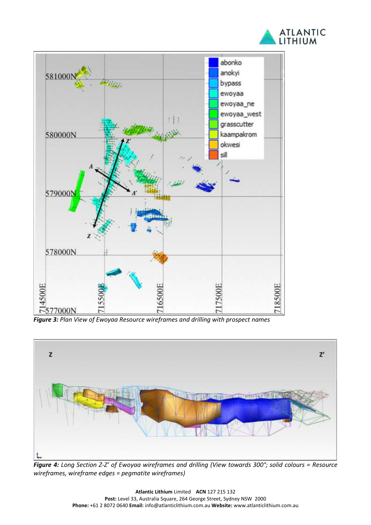



*Figure 3: Plan View of Ewoyaa Resource wireframes and drilling with prospect names* 



*Figure 4: Long Section Z-Z' of Ewoyaa wireframes and drilling (View towards 300°; solid colours = Resource wireframes, wireframe edges = pegmatite wireframes)*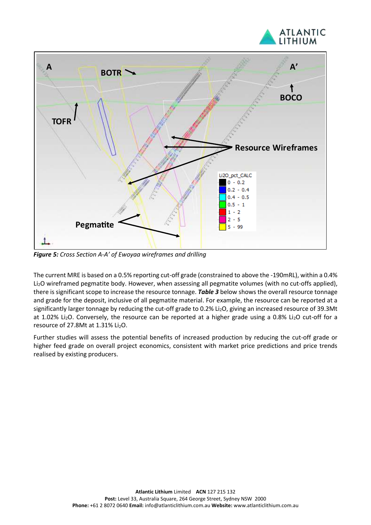



*Figure 5: Cross Section A-A' of Ewoyaa wireframes and drilling*

The current MRE is based on a 0.5% reporting cut-off grade (constrained to above the -190mRL), within a 0.4% Li<sub>2</sub>O wireframed pegmatite body. However, when assessing all pegmatite volumes (with no cut-offs applied), there is significant scope to increase the resource tonnage. *Table 3* below shows the overall resource tonnage and grade for the deposit, inclusive of all pegmatite material. For example, the resource can be reported at a significantly larger tonnage by reducing the cut-off grade to 0.2% Li<sub>2</sub>O, giving an increased resource of 39.3Mt at 1.02% Li<sub>2</sub>O. Conversely, the resource can be reported at a higher grade using a 0.8% Li<sub>2</sub>O cut-off for a resource of 27.8Mt at  $1.31\%$  Li<sub>2</sub>O.

Further studies will assess the potential benefits of increased production by reducing the cut-off grade or higher feed grade on overall project economics, consistent with market price predictions and price trends realised by existing producers.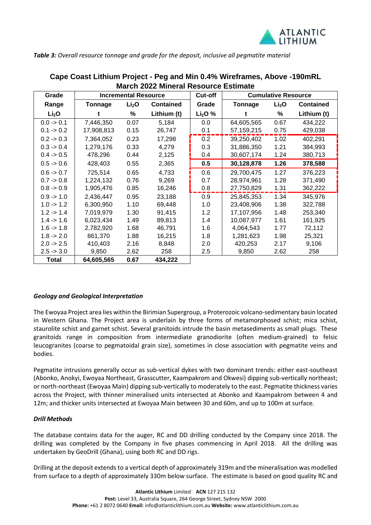

*Table 3: Overall resource tonnage and grade for the deposit, inclusive all pegmatite material*

|                       | March 2022 Milleral Resource Estimate |                             |                  |                                 |            |                            |                  |
|-----------------------|---------------------------------------|-----------------------------|------------------|---------------------------------|------------|----------------------------|------------------|
| Grade                 |                                       | <b>Incremental Resource</b> |                  | Cut-off                         |            | <b>Cumulative Resource</b> |                  |
| Range                 | Tonnage                               | Li <sub>2</sub> O           | <b>Contained</b> | Grade                           | Tonnage    | Li <sub>2</sub> O          | <b>Contained</b> |
| Li <sub>2</sub> O     |                                       | %                           | Lithium (t)      | Li <sub>2</sub> O <sub>96</sub> |            | %                          | Lithium (t)      |
| $0.0 -> 0.1$          | 7,446,350                             | 0.07                        | 5,184            | 0.0                             | 64,605,565 | 0.67                       | 434,222          |
| $0.1 - 0.2$           | 17,908,813                            | 0.15                        | 26,747           | 0.1                             | 57,159,215 | 0.75                       | 429,038          |
| $0.2 - 0.3$           | 7,364,052                             | 0.23                        | 17,298           | 0.2                             | 39,250,402 | 1.02                       | 402,291          |
| $0.3 - 0.4$           | 1,279,176                             | 0.33                        | 4,279            | 0.3                             | 31,886,350 | 1.21                       | 384,993          |
| $0.4 - 0.5$           | 478,296                               | 0.44                        | 2,125            | 0.4                             | 30,607,174 | 1.24                       | 380,713          |
| $0.5 - 0.6$           | 428,403                               | 0.55                        | 2,365            | 0.5                             | 30,128,878 | 1.26                       | 378,588          |
| $0.6 \rightarrow 0.7$ | 725,514                               | 0.65                        | 4,733            | 0.6                             | 29,700,475 | 1.27                       | 376,223          |
| $0.7 - 0.8$           | 1,224,132                             | 0.76                        | 9,269            | 0.7                             | 28,974,961 | 1.28                       | 371,490          |
| $0.8 - 0.9$           | 1,905,476                             | 0.85                        | 16,246           | 0.8                             | 27,750,829 | 1.31                       | 362,222          |
| $0.9 - 1.0$           | 2,436,447                             | 0.95                        | 23,188           | 0.9                             | 25,845,353 | 1.34                       | 345,976          |
| $1.0 - 1.2$           | 6,300,950                             | 1.10                        | 69,448           | 1.0                             | 23,408,906 | 1.38                       | 322,788          |
| $1.2 \div 1.4$        | 7,019,979                             | 1.30                        | 91,415           | 1.2                             | 17,107,956 | 1.48                       | 253,340          |
| $1.4 - 1.6$           | 6,023,434                             | 1.49                        | 89,813           | 1.4                             | 10,087,977 | 1.61                       | 161,925          |
| $1.6 - 1.8$           | 2,782,920                             | 1.68                        | 46,791           | 1.6                             | 4,064,543  | 1.77                       | 72,112           |
| $1.8 - 2.0$           | 861,370                               | 1.88                        | 16,215           | 1.8                             | 1,281,623  | 1.98                       | 25,321           |
| $2.0 \rightarrow 2.5$ | 410,403                               | 2.16                        | 8,848            | 2.0                             | 420,253    | 2.17                       | 9,106            |
| $2.5 \rightarrow 3.0$ | 9,850                                 | 2.62                        | 258              | 2.5                             | 9,850      | 2.62                       | 258              |
| <b>Total</b>          | 64,605,565                            | 0.67                        | 434,222          |                                 |            |                            |                  |

# **Cape Coast Lithium Project - Peg and Min 0.4% Wireframes, Above -190mRL March 2022 Mineral Resource Estimate**

# *Geology and Geological Interpretation*

The Ewoyaa Project area lies within the Birimian Supergroup, a Proterozoic volcano-sedimentary basin located in Western Ghana. The Project area is underlain by three forms of metamorphosed schist; mica schist, staurolite schist and garnet schist. Several granitoids intrude the basin metasediments as small plugs. These granitoids range in composition from intermediate granodiorite (often medium-grained) to felsic leucogranites (coarse to pegmatoidal grain size), sometimes in close association with pegmatite veins and bodies.

Pegmatite intrusions generally occur as sub-vertical dykes with two dominant trends: either east-southeast (Abonko, Anokyi, Ewoyaa Northeast, Grasscutter, Kaampakrom and Okwesi) dipping sub-vertically northeast; or north-northeast (Ewoyaa Main) dipping sub-vertically to moderately to the east. Pegmatite thickness varies across the Project, with thinner mineralised units intersected at Abonko and Kaampakrom between 4 and 12m; and thicker units intersected at Ewoyaa Main between 30 and 60m, and up to 100m at surface.

## *Drill Methods*

The database contains data for the auger, RC and DD drilling conducted by the Company since 2018. The drilling was completed by the Company in five phases commencing in April 2018. All the drilling was undertaken by GeoDrill (Ghana), using both RC and DD rigs.

Drilling at the deposit extends to a vertical depth of approximately 319m and the mineralisation was modelled from surface to a depth of approximately 330m below surface. The estimate is based on good quality RC and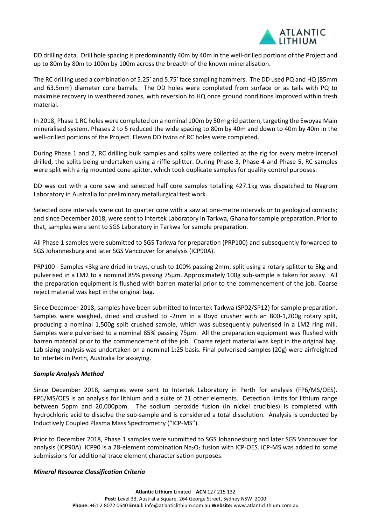

DD drilling data. Drill hole spacing is predominantly 40m by 40m in the well-drilled portions of the Project and up to 80m by 80m to 100m by 100m across the breadth of the known mineralisation.

The RC drilling used a combination of 5.25' and 5.75' face sampling hammers. The DD used PQ and HQ (85mm and 63.5mm) diameter core barrels. The DD holes were completed from surface or as tails with PQ to maximise recovery in weathered zones, with reversion to HQ once ground conditions improved within fresh material.

In 2018, Phase 1 RC holes were completed on a nominal 100m by 50m grid pattern, targeting the Ewoyaa Main mineralised system. Phases 2 to 5 reduced the wide spacing to 80m by 40m and down to 40m by 40m in the well-drilled portions of the Project. Eleven DD twins of RC holes were completed.

During Phase 1 and 2, RC drilling bulk samples and splits were collected at the rig for every metre interval drilled, the splits being undertaken using a riffle splitter. During Phase 3, Phase 4 and Phase 5, RC samples were split with a rig mounted cone spitter, which took duplicate samples for quality control purposes.

DD was cut with a core saw and selected half core samples totalling 427.1kg was dispatched to Nagrom Laboratory in Australia for preliminary metallurgical test work.

Selected core intervals were cut to quarter core with a saw at one-metre intervals or to geological contacts; and since December 2018, were sent to Intertek Laboratory in Tarkwa, Ghana for sample preparation. Prior to that, samples were sent to SGS Laboratory in Tarkwa for sample preparation.

All Phase 1 samples were submitted to SGS Tarkwa for preparation (PRP100) and subsequently forwarded to SGS Johannesburg and later SGS Vancouver for analysis (ICP90A).

PRP100 - Samples <3kg are dried in trays, crush to 100% passing 2mm, split using a rotary splitter to 5kg and pulverised in a LM2 to a nominal 85% passing 75µm. Approximately 100g sub-sample is taken for assay. All the preparation equipment is flushed with barren material prior to the commencement of the job. Coarse reject material was kept in the original bag.

Since December 2018, samples have been submitted to Intertek Tarkwa (SP02/SP12) for sample preparation. Samples were weighed, dried and crushed to -2mm in a Boyd crusher with an 800-1,200g rotary split, producing a nominal 1,500g split crushed sample, which was subsequently pulverised in a LM2 ring mill. Samples were pulverised to a nominal 85% passing 75µm. All the preparation equipment was flushed with barren material prior to the commencement of the job. Coarse reject material was kept in the original bag. Lab sizing analysis was undertaken on a nominal 1:25 basis. Final pulverised samples (20g) were airfreighted to Intertek in Perth, Australia for assaying.

## *Sample Analysis Method*

Since December 2018, samples were sent to Intertek Laboratory in Perth for analysis (FP6/MS/OES). FP6/MS/OES is an analysis for lithium and a suite of 21 other elements. Detection limits for lithium range between 5ppm and 20,000ppm. The sodium peroxide fusion (in nickel crucibles) is completed with hydrochloric acid to dissolve the sub-sample and is considered a total dissolution. Analysis is conducted by Inductively Coupled Plasma Mass Spectrometry ("ICP-MS").

Prior to December 2018, Phase 1 samples were submitted to SGS Johannesburg and later SGS Vancouver for analysis (ICP90A). ICP90 is a 28-element combination  $Na<sub>2</sub>O<sub>2</sub>$  fusion with ICP-OES. ICP-MS was added to some submissions for additional trace element characterisation purposes.

## *Mineral Resource Classification Criteria*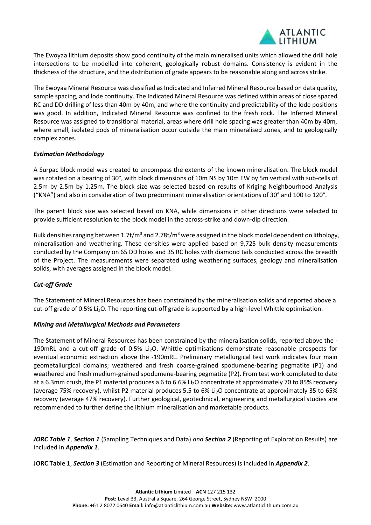

The Ewoyaa lithium deposits show good continuity of the main mineralised units which allowed the drill hole intersections to be modelled into coherent, geologically robust domains. Consistency is evident in the thickness of the structure, and the distribution of grade appears to be reasonable along and across strike.

The Ewoyaa Mineral Resource was classified as Indicated and Inferred Mineral Resource based on data quality, sample spacing, and lode continuity. The Indicated Mineral Resource was defined within areas of close spaced RC and DD drilling of less than 40m by 40m, and where the continuity and predictability of the lode positions was good. In addition, Indicated Mineral Resource was confined to the fresh rock. The Inferred Mineral Resource was assigned to transitional material, areas where drill hole spacing was greater than 40m by 40m, where small, isolated pods of mineralisation occur outside the main mineralised zones, and to geologically complex zones.

# *Estimation Methodology*

A Surpac block model was created to encompass the extents of the known mineralisation. The block model was rotated on a bearing of 30°, with block dimensions of 10m NS by 10m EW by 5m vertical with sub-cells of 2.5m by 2.5m by 1.25m. The block size was selected based on results of Kriging Neighbourhood Analysis ("KNA") and also in consideration of two predominant mineralisation orientations of 30° and 100 to 120°.

The parent block size was selected based on KNA, while dimensions in other directions were selected to provide sufficient resolution to the block model in the across-strike and down-dip direction.

Bulk densities ranging between 1.7t/m<sup>3</sup> and 2.78t/m<sup>3</sup> were assigned in the block model dependent on lithology, mineralisation and weathering. These densities were applied based on 9,725 bulk density measurements conducted by the Company on 65 DD holes and 35 RC holes with diamond tails conducted across the breadth of the Project. The measurements were separated using weathering surfaces, geology and mineralisation solids, with averages assigned in the block model.

# *Cut-off Grade*

The Statement of Mineral Resources has been constrained by the mineralisation solids and reported above a cut-off grade of 0.5% Li<sub>2</sub>O. The reporting cut-off grade is supported by a high-level Whittle optimisation.

# *Mining and Metallurgical Methods and Parameters*

The Statement of Mineral Resources has been constrained by the mineralisation solids, reported above the - 190mRL and a cut-off grade of 0.5% Li2O. Whittle optimisations demonstrate reasonable prospects for eventual economic extraction above the -190mRL. Preliminary metallurgical test work indicates four main geometallurgical domains; weathered and fresh coarse-grained spodumene-bearing pegmatite (P1) and weathered and fresh medium-grained spodumene-bearing pegmatite (P2). From test work completed to date at a 6.3mm crush, the P1 material produces a 6 to 6.6% Li<sub>2</sub>O concentrate at approximately 70 to 85% recovery (average 75% recovery), whilst P2 material produces 5.5 to 6% Li2O concentrate at approximately 35 to 65% recovery (average 47% recovery). Further geological, geotechnical, engineering and metallurgical studies are recommended to further define the lithium mineralisation and marketable products.

JORC Table 1, Section 1 (Sampling Techniques and Data) *and Section 2* (Reporting of Exploration Results) are included in *Appendix 1*.

**JORC Table 1**, *Section 3* (Estimation and Reporting of Mineral Resources) is included in *Appendix 2*.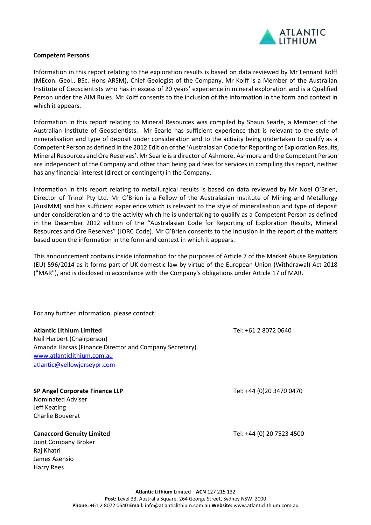

## **Competent Persons**

Information in this report relating to the exploration results is based on data reviewed by Mr Lennard Kolff (MEcon. Geol., BSc. Hons ARSM), Chief Geologist of the Company. Mr Kolff is a Member of the Australian Institute of Geoscientists who has in excess of 20 years' experience in mineral exploration and is a Qualified Person under the AIM Rules. Mr Kolff consents to the inclusion of the information in the form and context in which it appears.

Information in this report relating to Mineral Resources was compiled by Shaun Searle, a Member of the Australian Institute of Geoscientists. Mr Searle has sufficient experience that is relevant to the style of mineralisation and type of deposit under consideration and to the activity being undertaken to qualify as a Competent Person as defined in the 2012 Edition of the 'Australasian Code for Reporting of Exploration Results, Mineral Resources and Ore Reserves'. Mr Searle is a director of Ashmore. Ashmore and the Competent Person are independent of the Company and other than being paid fees for services in compiling this report, neither has any financial interest (direct or contingent) in the Company.

Information in this report relating to metallurgical results is based on data reviewed by Mr Noel O'Brien, Director of Trinol Pty Ltd. Mr O'Brien is a Fellow of the Australasian Institute of Mining and Metallurgy (AusIMM) and has sufficient experience which is relevant to the style of mineralisation and type of deposit under consideration and to the activity which he is undertaking to qualify as a Competent Person as defined in the December 2012 edition of the "Australasian Code for Reporting of Exploration Results, Mineral Resources and Ore Reserves" (JORC Code). Mr O'Brien consents to the inclusion in the report of the matters based upon the information in the form and context in which it appears.

This announcement contains inside information for the purposes of Article 7 of the Market Abuse Regulation (EU) 596/2014 as it forms part of UK domestic law by virtue of the European Union (Withdrawal) Act 2018 ("MAR"), and is disclosed in accordance with the Company's obligations under Article 17 of MAR.

For any further information, please contact:

#### **Atlantic Lithium Limited**

Neil Herbert (Chairperson) Amanda Harsas (Finance Director and Company Secretary) [www.atlanticlithium.com.au](http://www.atlanticlithium.com.au/) [atlantic@yellowjerseypr.com](mailto:atlantic@yellowjerseypr.com)

# **SP Angel Corporate Finance LLP**

Nominated Adviser Jeff Keating Charlie Bouverat

#### **Canaccord Genuity Limited**

Joint Company Broker Raj Khatri James Asensio Harry Rees

Tel: +61 2 8072 0640

Tel: +44 (0)20 3470 0470

Tel: +44 (0) 20 7523 4500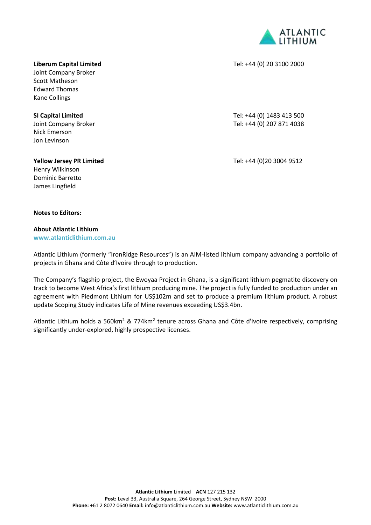

Tel: +44 (0) 20 3100 2000

**Liberum Capital Limited** Joint Company Broker Scott Matheson Edward Thomas Kane Collings

**SI Capital Limited** Joint Company Broker Nick Emerson Jon Levinson

Tel: +44 (0) 1483 413 500 Tel: +44 (0) 207 871 4038

Tel: +44 (0)20 3004 9512

**Yellow Jersey PR Limited** Henry Wilkinson Dominic Barretto James Lingfield

## **Notes to Editors:**

## **About Atlantic Lithium**

**[www.atlanticlithium.com.au](http://www.atlanticlithium.com.au/)**

Atlantic Lithium (formerly "IronRidge Resources") is an AIM-listed lithium company advancing a portfolio of projects in Ghana and Côte d'Ivoire through to production.

The Company's flagship project, the Ewoyaa Project in Ghana, is a significant lithium pegmatite discovery on track to become West Africa's first lithium producing mine. The project is fully funded to production under an agreement with Piedmont Lithium for US\$102m and set to produce a premium lithium product. A robust update Scoping Study indicates Life of Mine revenues exceeding US\$3.4bn.

Atlantic Lithium holds a 560km<sup>2</sup> & 774km<sup>2</sup> tenure across Ghana and Côte d'Ivoire respectively, comprising significantly under-explored, highly prospective licenses.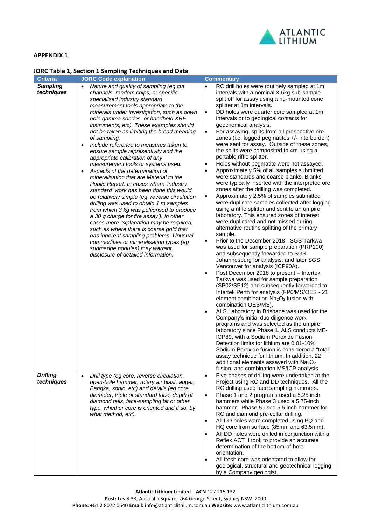

## **APPENDIX 1**

## **JORC Table 1, Section 1 Sampling Techniques and Data**

|                               | JORC Table 1, Section 1 Sampling Techniques and Data                                                                                                                                                                                                                                                                                                                                                                                                                                                                                                                                                                                                                                                                                                                                                                                                                                                                                                                                                                                                                                                                                                   |                                                                                                                                                                                                                                                                                                                                                                                                                                                                                                                                                                                                                                                                                                                                                                                                                                                                                                                                                                                                                                                                                                                                                                                                                                                                                                                                                                                                                                                                                                                                                                                                                                                                                                                                                                                                                                                                                                                                                                                                                                                                                 |
|-------------------------------|--------------------------------------------------------------------------------------------------------------------------------------------------------------------------------------------------------------------------------------------------------------------------------------------------------------------------------------------------------------------------------------------------------------------------------------------------------------------------------------------------------------------------------------------------------------------------------------------------------------------------------------------------------------------------------------------------------------------------------------------------------------------------------------------------------------------------------------------------------------------------------------------------------------------------------------------------------------------------------------------------------------------------------------------------------------------------------------------------------------------------------------------------------|---------------------------------------------------------------------------------------------------------------------------------------------------------------------------------------------------------------------------------------------------------------------------------------------------------------------------------------------------------------------------------------------------------------------------------------------------------------------------------------------------------------------------------------------------------------------------------------------------------------------------------------------------------------------------------------------------------------------------------------------------------------------------------------------------------------------------------------------------------------------------------------------------------------------------------------------------------------------------------------------------------------------------------------------------------------------------------------------------------------------------------------------------------------------------------------------------------------------------------------------------------------------------------------------------------------------------------------------------------------------------------------------------------------------------------------------------------------------------------------------------------------------------------------------------------------------------------------------------------------------------------------------------------------------------------------------------------------------------------------------------------------------------------------------------------------------------------------------------------------------------------------------------------------------------------------------------------------------------------------------------------------------------------------------------------------------------------|
| <b>Criteria</b>               | <b>JORC Code explanation</b>                                                                                                                                                                                                                                                                                                                                                                                                                                                                                                                                                                                                                                                                                                                                                                                                                                                                                                                                                                                                                                                                                                                           | <b>Commentary</b>                                                                                                                                                                                                                                                                                                                                                                                                                                                                                                                                                                                                                                                                                                                                                                                                                                                                                                                                                                                                                                                                                                                                                                                                                                                                                                                                                                                                                                                                                                                                                                                                                                                                                                                                                                                                                                                                                                                                                                                                                                                               |
| <b>Sampling</b><br>techniques | Nature and quality of sampling (eg cut<br>channels, random chips, or specific<br>specialised industry standard<br>measurement tools appropriate to the<br>minerals under investigation, such as down<br>hole gamma sondes, or handheld XRF<br>instruments, etc). These examples should<br>not be taken as limiting the broad meaning<br>of sampling.<br>Include reference to measures taken to<br>$\bullet$<br>ensure sample representivity and the<br>appropriate calibration of any<br>measurement tools or systems used.<br>Aspects of the determination of<br>$\bullet$<br>mineralisation that are Material to the<br>Public Report. In cases where 'industry<br>standard' work has been done this would<br>be relatively simple (eg 'reverse circulation<br>drilling was used to obtain 1 m samples<br>from which 3 kg was pulverised to produce<br>a 30 g charge for fire assay'). In other<br>cases more explanation may be required,<br>such as where there is coarse gold that<br>has inherent sampling problems. Unusual<br>commodities or mineralisation types (eg<br>submarine nodules) may warrant<br>disclosure of detailed information. | RC drill holes were routinely sampled at 1m<br>$\bullet$<br>intervals with a nominal 3-6kg sub-sample<br>split off for assay using a rig-mounted cone<br>splitter at 1m intervals.<br>DD holes were quarter core sampled at 1m<br>$\bullet$<br>intervals or to geological contacts for<br>geochemical analysis.<br>For assaying, splits from all prospective ore<br>$\bullet$<br>zones (i.e. logged pegmatites +/- interburden)<br>were sent for assay. Outside of these zones,<br>the splits were composited to 4m using a<br>portable riffle splitter.<br>Holes without pegmatite were not assayed.<br>$\bullet$<br>Approximately 5% of all samples submitted<br>$\bullet$<br>were standards and coarse blanks. Blanks<br>were typically inserted with the interpreted ore<br>zones after the drilling was completed.<br>Approximately 2.5% of samples submitted<br>$\bullet$<br>were duplicate samples collected after logging<br>using a riffle splitter and sent to an umpire<br>laboratory. This ensured zones of interest<br>were duplicated and not missed during<br>alternative routine splitting of the primary<br>sample.<br>Prior to the December 2018 - SGS Tarkwa<br>$\bullet$<br>was used for sample preparation (PRP100)<br>and subsequently forwarded to SGS<br>Johannesburg for analysis; and later SGS<br>Vancouver for analysis (ICP90A).<br>Post December 2018 to present - Intertek<br>$\bullet$<br>Tarkwa was used for sample preparation<br>(SP02/SP12) and subsequently forwarded to<br>Intertek Perth for analysis (FP6/MS/OES - 21<br>element combination Na <sub>2</sub> O <sub>2</sub> fusion with<br>combination OES/MS).<br>ALS Laboratory in Brisbane was used for the<br>٠<br>Company's initial due diligence work<br>programs and was selected as the umpire<br>laboratory since Phase 1. ALS conducts ME-<br>ICP89, with a Sodium Peroxide Fusion.<br>Detection limits for lithium are 0.01-10%.<br>"Sodium Peroxide fusion is considered a "total<br>assay technique for lithium. In addition, 22<br>additional elements assayed with Na2O2 |
|                               |                                                                                                                                                                                                                                                                                                                                                                                                                                                                                                                                                                                                                                                                                                                                                                                                                                                                                                                                                                                                                                                                                                                                                        | fusion, and combination MS/ICP analysis.                                                                                                                                                                                                                                                                                                                                                                                                                                                                                                                                                                                                                                                                                                                                                                                                                                                                                                                                                                                                                                                                                                                                                                                                                                                                                                                                                                                                                                                                                                                                                                                                                                                                                                                                                                                                                                                                                                                                                                                                                                        |
| <b>Drilling</b><br>techniques | Drill type (eg core, reverse circulation,<br>$\bullet$<br>open-hole hammer, rotary air blast, auger,<br>Bangka, sonic, etc) and details (eg core<br>diameter, triple or standard tube, depth of<br>diamond tails, face-sampling bit or other<br>type, whether core is oriented and if so, by<br>what method, etc).                                                                                                                                                                                                                                                                                                                                                                                                                                                                                                                                                                                                                                                                                                                                                                                                                                     | Five phases of drilling were undertaken at the<br>$\bullet$<br>Project using RC and DD techniques. All the<br>RC drilling used face sampling hammers.<br>Phase 1 and 2 programs used a 5.25 inch<br>$\bullet$<br>hammers while Phase 3 used a 5.75-inch<br>hammer. Phase 5 used 5.5 inch hammer for<br>RC and diamond pre-collar drilling.<br>All DD holes were completed using PQ and<br>$\bullet$<br>HQ core from surface (85mm and 63.5mm).<br>All DD holes were drilled in conjunction with a<br>$\bullet$<br>Reflex ACT II tool; to provide an accurate<br>determination of the bottom-of-hole<br>orientation.<br>All fresh core was orientated to allow for<br>$\bullet$<br>geological, structural and geotechnical logging<br>by a Company geologist.                                                                                                                                                                                                                                                                                                                                                                                                                                                                                                                                                                                                                                                                                                                                                                                                                                                                                                                                                                                                                                                                                                                                                                                                                                                                                                                    |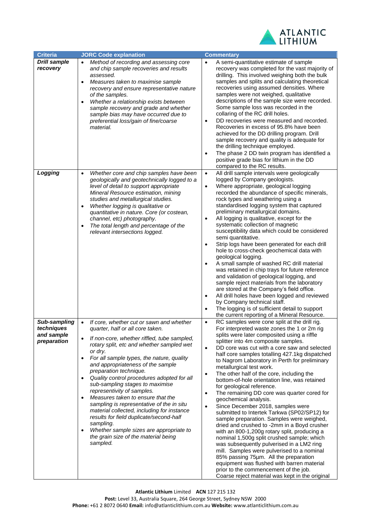

| <b>Criteria</b>                                         | <b>JORC Code explanation</b>                                                                                                                                                                                                                                                                                                                                                                                                                                                                                                                                                                                                                                                                                                                                   | <b>Commentary</b>                                                                                                                                                                                                                                                                                                                                                                                                                                                                                                                                                                                                                                                                                                                                                                                                                                                                                                                                                                                                                                                                                                                                                                                 |
|---------------------------------------------------------|----------------------------------------------------------------------------------------------------------------------------------------------------------------------------------------------------------------------------------------------------------------------------------------------------------------------------------------------------------------------------------------------------------------------------------------------------------------------------------------------------------------------------------------------------------------------------------------------------------------------------------------------------------------------------------------------------------------------------------------------------------------|---------------------------------------------------------------------------------------------------------------------------------------------------------------------------------------------------------------------------------------------------------------------------------------------------------------------------------------------------------------------------------------------------------------------------------------------------------------------------------------------------------------------------------------------------------------------------------------------------------------------------------------------------------------------------------------------------------------------------------------------------------------------------------------------------------------------------------------------------------------------------------------------------------------------------------------------------------------------------------------------------------------------------------------------------------------------------------------------------------------------------------------------------------------------------------------------------|
| <b>Drill sample</b><br>recovery                         | Method of recording and assessing core<br>and chip sample recoveries and results<br>assessed.<br>Measures taken to maximise sample<br>$\bullet$<br>recovery and ensure representative nature<br>of the samples.<br>Whether a relationship exists between<br>$\bullet$<br>sample recovery and grade and whether<br>sample bias may have occurred due to<br>preferential loss/gain of fine/coarse<br>material.                                                                                                                                                                                                                                                                                                                                                   | A semi-quantitative estimate of sample<br>$\bullet$<br>recovery was completed for the vast majority of<br>drilling. This involved weighing both the bulk<br>samples and splits and calculating theoretical<br>recoveries using assumed densities. Where<br>samples were not weighed, qualitative<br>descriptions of the sample size were recorded.<br>Some sample loss was recorded in the<br>collaring of the RC drill holes.<br>DD recoveries were measured and recorded.<br>$\bullet$<br>Recoveries in excess of 95.8% have been<br>achieved for the DD drilling program. Drill<br>sample recovery and quality is adequate for<br>the drilling technique employed.<br>The phase 2 DD twin program has identified a<br>$\bullet$<br>positive grade bias for lithium in the DD<br>compared to the RC results.                                                                                                                                                                                                                                                                                                                                                                                    |
| Logging                                                 | Whether core and chip samples have been<br>$\bullet$<br>geologically and geotechnically logged to a<br>level of detail to support appropriate<br>Mineral Resource estimation, mining<br>studies and metallurgical studies.<br>Whether logging is qualitative or<br>$\bullet$<br>quantitative in nature. Core (or costean,<br>channel, etc) photography.<br>The total length and percentage of the<br>$\bullet$<br>relevant intersections logged.                                                                                                                                                                                                                                                                                                               | All drill sample intervals were geologically<br>$\bullet$<br>logged by Company geologists.<br>Where appropriate, geological logging<br>$\bullet$<br>recorded the abundance of specific minerals,<br>rock types and weathering using a<br>standardised logging system that captured<br>preliminary metallurgical domains.<br>All logging is qualitative, except for the<br>$\bullet$<br>systematic collection of magnetic<br>susceptibility data which could be considered<br>semi quantitative.<br>Strip logs have been generated for each drill<br>$\bullet$<br>hole to cross-check geochemical data with<br>geological logging.<br>A small sample of washed RC drill material<br>$\bullet$<br>was retained in chip trays for future reference<br>and validation of geological logging, and<br>sample reject materials from the laboratory<br>are stored at the Company's field office.<br>All drill holes have been logged and reviewed<br>$\bullet$<br>by Company technical staff.<br>The logging is of sufficient detail to support<br>$\bullet$<br>the current reporting of a Mineral Resource.                                                                                              |
| Sub-sampling<br>techniques<br>and sample<br>preparation | If core, whether cut or sawn and whether<br>$\bullet$<br>quarter, half or all core taken.<br>If non-core, whether riffled, tube sampled,<br>rotary split, etc and whether sampled wet<br>or dry.<br>For all sample types, the nature, quality<br>$\bullet$<br>and appropriateness of the sample<br>preparation technique.<br>Quality control procedures adopted for all<br>$\bullet$<br>sub-sampling stages to maximise<br>representivity of samples.<br>Measures taken to ensure that the<br>$\bullet$<br>sampling is representative of the in situ<br>material collected, including for instance<br>results for field duplicate/second-half<br>sampling.<br>Whether sample sizes are appropriate to<br>٠<br>the grain size of the material being<br>sampled. | RC samples were cone split at the drill rig.<br>$\bullet$<br>For interpreted waste zones the 1 or 2m rig<br>splits were later composited using a riffle<br>splitter into 4m composite samples.<br>DD core was cut with a core saw and selected<br>$\bullet$<br>half core samples totalling 427.1kg dispatched<br>to Nagrom Laboratory in Perth for preliminary<br>metallurgical test work.<br>The other half of the core, including the<br>$\bullet$<br>bottom-of-hole orientation line, was retained<br>for geological reference.<br>The remaining DD core was quarter cored for<br>$\bullet$<br>geochemical analysis.<br>Since December 2018, samples were<br>$\bullet$<br>submitted to Intertek Tarkwa (SP02/SP12) for<br>sample preparation. Samples were weighed,<br>dried and crushed to -2mm in a Boyd crusher<br>with an 800-1,200g rotary split, producing a<br>nominal 1,500g split crushed sample; which<br>was subsequently pulverised in a LM2 ring<br>mill. Samples were pulverised to a nominal<br>85% passing 75pm. All the preparation<br>equipment was flushed with barren material<br>prior to the commencement of the job.<br>Coarse reject material was kept in the original |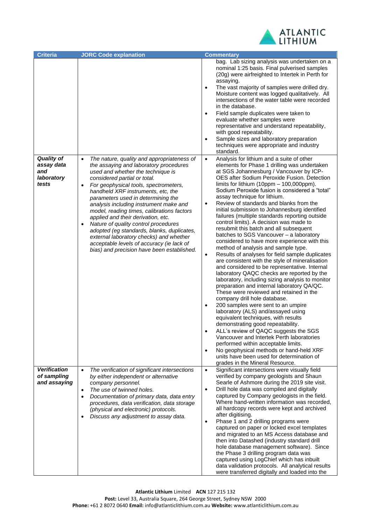

| <b>Criteria</b>                                               | <b>JORC Code explanation</b>                                                                                                                                                                                                                                                                                                                                                                                                                                                                                                                                                                                                                                                    | <b>Commentary</b>                                                                                                                                                                                                                                                                                                                                                                                                                                                                                                                                                                                                                                                                                                                                                                                                                                                                                                                                                                                                                                                                                                                                                                                                                                                                                                                                                                                                                                                                                                                            |
|---------------------------------------------------------------|---------------------------------------------------------------------------------------------------------------------------------------------------------------------------------------------------------------------------------------------------------------------------------------------------------------------------------------------------------------------------------------------------------------------------------------------------------------------------------------------------------------------------------------------------------------------------------------------------------------------------------------------------------------------------------|----------------------------------------------------------------------------------------------------------------------------------------------------------------------------------------------------------------------------------------------------------------------------------------------------------------------------------------------------------------------------------------------------------------------------------------------------------------------------------------------------------------------------------------------------------------------------------------------------------------------------------------------------------------------------------------------------------------------------------------------------------------------------------------------------------------------------------------------------------------------------------------------------------------------------------------------------------------------------------------------------------------------------------------------------------------------------------------------------------------------------------------------------------------------------------------------------------------------------------------------------------------------------------------------------------------------------------------------------------------------------------------------------------------------------------------------------------------------------------------------------------------------------------------------|
|                                                               |                                                                                                                                                                                                                                                                                                                                                                                                                                                                                                                                                                                                                                                                                 | bag. Lab sizing analysis was undertaken on a<br>nominal 1:25 basis. Final pulverised samples<br>(20g) were airfreighted to Intertek in Perth for<br>assaying.<br>The vast majority of samples were drilled dry.<br>$\bullet$<br>Moisture content was logged qualitatively. All<br>intersections of the water table were recorded<br>in the database.<br>Field sample duplicates were taken to<br>$\bullet$<br>evaluate whether samples were<br>representative and understand repeatability,<br>with good repeatability.<br>Sample sizes and laboratory preparation<br>$\bullet$<br>techniques were appropriate and industry<br>standard.                                                                                                                                                                                                                                                                                                                                                                                                                                                                                                                                                                                                                                                                                                                                                                                                                                                                                                     |
| <b>Quality of</b><br>assay data<br>and<br>laboratory<br>tests | The nature, quality and appropriateness of<br>$\bullet$<br>the assaying and laboratory procedures<br>used and whether the technique is<br>considered partial or total.<br>For geophysical tools, spectrometers,<br>$\bullet$<br>handheld XRF instruments, etc, the<br>parameters used in determining the<br>analysis including instrument make and<br>model, reading times, calibrations factors<br>applied and their derivation, etc.<br>Nature of quality control procedures<br>$\bullet$<br>adopted (eg standards, blanks, duplicates,<br>external laboratory checks) and whether<br>acceptable levels of accuracy (ie lack of<br>bias) and precision have been established. | Analysis for lithium and a suite of other<br>$\bullet$<br>elements for Phase 1 drilling was undertaken<br>at SGS Johannesburg / Vancouver by ICP-<br>OES after Sodium Peroxide Fusion. Detection<br>limits for lithium (10ppm - 100,000ppm).<br>Sodium Peroxide fusion is considered a "total"<br>assay technique for lithium.<br>Review of standards and blanks from the<br>$\bullet$<br>initial submission to Johannesburg identified<br>failures (multiple standards reporting outside<br>control limits). A decision was made to<br>resubmit this batch and all subsequent<br>batches to SGS Vancouver - a laboratory<br>considered to have more experience with this<br>method of analysis and sample type.<br>Results of analyses for field sample duplicates<br>$\bullet$<br>are consistent with the style of mineralisation<br>and considered to be representative. Internal<br>laboratory QAQC checks are reported by the<br>laboratory, including sizing analysis to monitor<br>preparation and internal laboratory QA/QC.<br>These were reviewed and retained in the<br>company drill hole database.<br>200 samples were sent to an umpire<br>laboratory (ALS) and/assayed using<br>equivalent techniques, with results<br>demonstrating good repeatability.<br>ALL's review of QAQC suggests the SGS<br>Vancouver and Intertek Perth laboratories<br>performed within acceptable limits.<br>No geophysical methods or hand-held XRF<br>$\bullet$<br>units have been used for determination of<br>grades in the Mineral Resource. |
| <b>Verification</b><br>of sampling<br>and assaying            | The verification of significant intersections<br>$\bullet$<br>by either independent or alternative<br>company personnel.<br>The use of twinned holes.<br>$\bullet$<br>Documentation of primary data, data entry<br>$\bullet$<br>procedures, data verification, data storage<br>(physical and electronic) protocols.<br>Discuss any adjustment to assay data.<br>$\bullet$                                                                                                                                                                                                                                                                                                       | Significant intersections were visually field<br>$\bullet$<br>verified by company geologists and Shaun<br>Searle of Ashmore during the 2019 site visit.<br>Drill hole data was compiled and digitally<br>$\bullet$<br>captured by Company geologists in the field.<br>Where hand-written information was recorded,<br>all hardcopy records were kept and archived<br>after digitising.<br>Phase 1 and 2 drilling programs were<br>captured on paper or locked excel templates<br>and migrated to an MS Access database and<br>then into Datashed (industry standard drill<br>hole database management software). Since<br>the Phase 3 drilling program data was<br>captured using LogChief which has inbuilt<br>data validation protocols. All analytical results<br>were transferred digitally and loaded into the                                                                                                                                                                                                                                                                                                                                                                                                                                                                                                                                                                                                                                                                                                                          |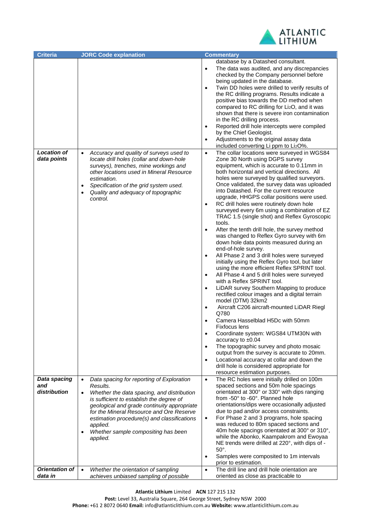

| <b>Criteria</b>                                              | <b>JORC Code explanation</b>                                                                                                                                                                                                                                                                                                                                                                                                           | <b>Commentary</b>                                                                                                                                                                                                                                                                                                                                                                                                                                                                                                                                                                                                                                                                                                                                                                                                                                                                                                                                                                                                                                                                                                                                                                                                                                                                                                                                                                                                                                                                                                                                                                                                    |
|--------------------------------------------------------------|----------------------------------------------------------------------------------------------------------------------------------------------------------------------------------------------------------------------------------------------------------------------------------------------------------------------------------------------------------------------------------------------------------------------------------------|----------------------------------------------------------------------------------------------------------------------------------------------------------------------------------------------------------------------------------------------------------------------------------------------------------------------------------------------------------------------------------------------------------------------------------------------------------------------------------------------------------------------------------------------------------------------------------------------------------------------------------------------------------------------------------------------------------------------------------------------------------------------------------------------------------------------------------------------------------------------------------------------------------------------------------------------------------------------------------------------------------------------------------------------------------------------------------------------------------------------------------------------------------------------------------------------------------------------------------------------------------------------------------------------------------------------------------------------------------------------------------------------------------------------------------------------------------------------------------------------------------------------------------------------------------------------------------------------------------------------|
| <b>Location of</b><br>data points                            | Accuracy and quality of surveys used to<br>$\bullet$<br>locate drill holes (collar and down-hole<br>surveys), trenches, mine workings and<br>other locations used in Mineral Resource<br>estimation.<br>Specification of the grid system used.<br>$\bullet$<br>Quality and adequacy of topographic<br>control.                                                                                                                         | database by a Datashed consultant.<br>The data was audited, and any discrepancies<br>$\bullet$<br>checked by the Company personnel before<br>being updated in the database.<br>Twin DD holes were drilled to verify results of<br>$\bullet$<br>the RC drilling programs. Results indicate a<br>positive bias towards the DD method when<br>compared to RC drilling for Li <sub>2</sub> O, and it was<br>shown that there is severe iron contamination<br>in the RC drilling process.<br>Reported drill hole intercepts were compiled<br>٠<br>by the Chief Geologist.<br>Adjustments to the original assay data<br>$\bullet$<br>included converting Li ppm to Li2O%.<br>The collar locations were surveyed in WGS84<br>$\bullet$<br>Zone 30 North using DGPS survey<br>equipment, which is accurate to 0.11mm in<br>both horizontal and vertical directions. All<br>holes were surveyed by qualified surveyors.<br>Once validated, the survey data was uploaded<br>into Datashed. For the current resource<br>upgrade, HHGPS collar positions were used.<br>RC drill holes were routinely down hole<br>$\bullet$<br>surveyed every 6m using a combination of EZ<br>TRAC 1.5 (single shot) and Reflex Gyroscopic<br>tools.<br>After the tenth drill hole, the survey method<br>was changed to Reflex Gyro survey with 6m<br>down hole data points measured during an<br>end-of-hole survey.<br>All Phase 2 and 3 drill holes were surveyed<br>$\bullet$<br>initially using the Reflex Gyro tool, but later<br>using the more efficient Reflex SPRINT tool.<br>All Phase 4 and 5 drill holes were surveyed<br>$\bullet$ |
|                                                              |                                                                                                                                                                                                                                                                                                                                                                                                                                        | Q780<br>Camera Hasselblad H5Dc with 50mm<br><b>Fixfocus lens</b><br>Coordinate system: WGS84 UTM30N with<br>$\bullet$<br>accuracy to $\pm 0.04$<br>The topographic survey and photo mosaic<br>$\bullet$<br>output from the survey is accurate to 20mm.<br>Locational accuracy at collar and down the<br>$\bullet$<br>drill hole is considered appropriate for                                                                                                                                                                                                                                                                                                                                                                                                                                                                                                                                                                                                                                                                                                                                                                                                                                                                                                                                                                                                                                                                                                                                                                                                                                                        |
|                                                              |                                                                                                                                                                                                                                                                                                                                                                                                                                        | resource estimation purposes.                                                                                                                                                                                                                                                                                                                                                                                                                                                                                                                                                                                                                                                                                                                                                                                                                                                                                                                                                                                                                                                                                                                                                                                                                                                                                                                                                                                                                                                                                                                                                                                        |
| Data spacing<br>and<br>distribution<br><b>Orientation of</b> | Data spacing for reporting of Exploration<br>$\bullet$<br>Results.<br>Whether the data spacing, and distribution<br>$\bullet$<br>is sufficient to establish the degree of<br>geological and grade continuity appropriate<br>for the Mineral Resource and Ore Reserve<br>estimation procedure(s) and classifications<br>applied.<br>Whether sample compositing has been<br>applied.<br>$\bullet$<br>Whether the orientation of sampling | The RC holes were initially drilled on 100m<br>$\bullet$<br>spaced sections and 50m hole spacings<br>orientated at 300° or 330° with dips ranging<br>from -50° to -60°. Planned hole<br>orientations/dips were occasionally adjusted<br>due to pad and/or access constraints.<br>For Phase 2 and 3 programs, hole spacing<br>$\bullet$<br>was reduced to 80m spaced sections and<br>40m hole spacings orientated at 300° or 310°,<br>while the Abonko, Kaampakrom and Ewoyaa<br>NE trends were drilled at 220°, with dips of -<br>50°.<br>Samples were composited to 1m intervals<br>$\bullet$<br>prior to estimation.<br>The drill line and drill hole orientation are<br>$\bullet$                                                                                                                                                                                                                                                                                                                                                                                                                                                                                                                                                                                                                                                                                                                                                                                                                                                                                                                                 |
| data in                                                      | achieves unbiased sampling of possible                                                                                                                                                                                                                                                                                                                                                                                                 | oriented as close as practicable to                                                                                                                                                                                                                                                                                                                                                                                                                                                                                                                                                                                                                                                                                                                                                                                                                                                                                                                                                                                                                                                                                                                                                                                                                                                                                                                                                                                                                                                                                                                                                                                  |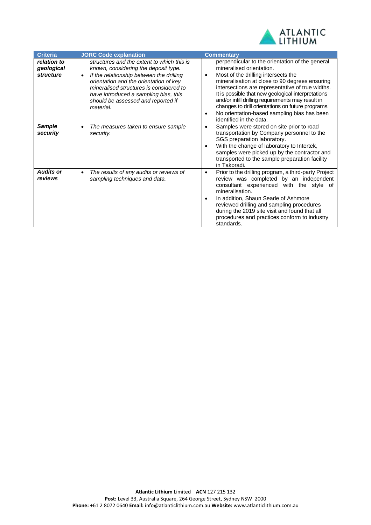

| <b>Criteria</b>                        | <b>JORC Code explanation</b>                                                                                                                                                                                                                                                                                                 | <b>Commentary</b>                                                                                                                                                                                                                                                                                                                                                                                                                                                               |
|----------------------------------------|------------------------------------------------------------------------------------------------------------------------------------------------------------------------------------------------------------------------------------------------------------------------------------------------------------------------------|---------------------------------------------------------------------------------------------------------------------------------------------------------------------------------------------------------------------------------------------------------------------------------------------------------------------------------------------------------------------------------------------------------------------------------------------------------------------------------|
| relation to<br>geological<br>structure | structures and the extent to which this is<br>known, considering the deposit type.<br>If the relationship between the drilling<br>$\bullet$<br>orientation and the orientation of key<br>mineralised structures is considered to<br>have introduced a sampling bias, this<br>should be assessed and reported if<br>material. | perpendicular to the orientation of the general<br>mineralised orientation.<br>Most of the drilling intersects the<br>$\bullet$<br>mineralisation at close to 90 degrees ensuring<br>intersections are representative of true widths.<br>It is possible that new geological interpretations<br>and/or infill drilling requirements may result in<br>changes to drill orientations on future programs.<br>No orientation-based sampling bias has been<br>identified in the data. |
| <b>Sample</b><br>security              | The measures taken to ensure sample<br>security.                                                                                                                                                                                                                                                                             | Samples were stored on site prior to road<br>٠<br>transportation by Company personnel to the<br>SGS preparation laboratory.<br>With the change of laboratory to Intertek,<br>$\bullet$<br>samples were picked up by the contractor and<br>transported to the sample preparation facility<br>in Takoradi.                                                                                                                                                                        |
| <b>Audits or</b><br>reviews            | The results of any audits or reviews of<br>$\bullet$<br>sampling techniques and data.                                                                                                                                                                                                                                        | Prior to the drilling program, a third-party Project<br>$\bullet$<br>review was completed by an independent<br>consultant experienced with the style of<br>mineralisation.<br>In addition, Shaun Searle of Ashmore<br>reviewed drilling and sampling procedures<br>during the 2019 site visit and found that all<br>procedures and practices conform to industry<br>standards.                                                                                                  |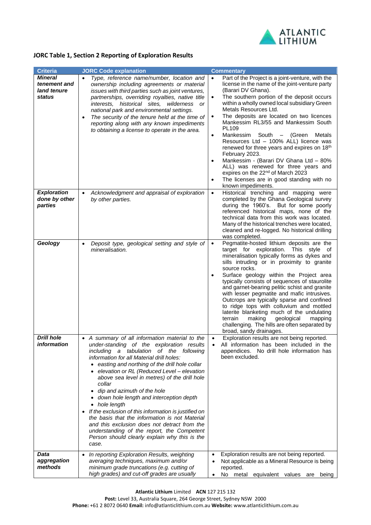

|  | <b>JORC Table 1, Section 2 Reporting of Exploration Results</b> |
|--|-----------------------------------------------------------------|
|--|-----------------------------------------------------------------|

| <b>Criteria</b>                                  | <b>JORC Code explanation</b>                                                                                                                                                                                                                                                                                                                                                                                                                                                                                                                                                                                                                                                                                | <b>Commentary</b>                                                                                                                                                                                                                                                                                                                                                                                                                                                                                                                                                                                                                                                                                                                                                                                  |
|--------------------------------------------------|-------------------------------------------------------------------------------------------------------------------------------------------------------------------------------------------------------------------------------------------------------------------------------------------------------------------------------------------------------------------------------------------------------------------------------------------------------------------------------------------------------------------------------------------------------------------------------------------------------------------------------------------------------------------------------------------------------------|----------------------------------------------------------------------------------------------------------------------------------------------------------------------------------------------------------------------------------------------------------------------------------------------------------------------------------------------------------------------------------------------------------------------------------------------------------------------------------------------------------------------------------------------------------------------------------------------------------------------------------------------------------------------------------------------------------------------------------------------------------------------------------------------------|
| Mineral<br>tenement and<br>land tenure<br>status | Type, reference name/number, location and<br>$\bullet$<br>ownership including agreements or material<br>issues with third parties such as joint ventures,<br>partnerships, overriding royalties, native title<br>interests, historical sites, wilderness or<br>national park and environmental settings.<br>The security of the tenure held at the time of<br>$\bullet$<br>reporting along with any known impediments<br>to obtaining a license to operate in the area.                                                                                                                                                                                                                                     | Part of the Project is a joint-venture, with the<br>$\bullet$<br>license in the name of the joint-venture party<br>(Barari DV Ghana).<br>The southern portion of the deposit occurs<br>$\bullet$<br>within a wholly owned local subsidiary Green<br>Metals Resources Ltd.<br>The deposits are located on two licences<br>$\bullet$<br>Mankessim RL3/55 and Mankessim South<br>PL <sub>109</sub><br>Mankessim<br>South<br>– (Green<br>Metals<br>$\bullet$<br>Resources Ltd - 100% ALL) licence was<br>renewed for three years and expires on 18th<br>February 2023.<br>Mankessim - (Barari DV Ghana Ltd - 80%<br>$\bullet$<br>ALL) was renewed for three years and<br>expires on the 22 <sup>nd</sup> of March 2023<br>The licenses are in good standing with no<br>$\bullet$<br>known impediments. |
| <b>Exploration</b><br>done by other<br>parties   | Acknowledgment and appraisal of exploration<br>$\bullet$<br>by other parties.                                                                                                                                                                                                                                                                                                                                                                                                                                                                                                                                                                                                                               | Historical trenching and mapping were<br>$\bullet$<br>completed by the Ghana Geological survey<br>during the 1960's. But for some poorly<br>referenced historical maps, none of the<br>technical data from this work was located.<br>Many of the historical trenches were located,<br>cleaned and re-logged. No historical drilling<br>was completed.                                                                                                                                                                                                                                                                                                                                                                                                                                              |
| Geology                                          | Deposit type, geological setting and style of<br>$\bullet$<br>mineralisation.                                                                                                                                                                                                                                                                                                                                                                                                                                                                                                                                                                                                                               | Pegmatite-hosted lithium deposits are the<br>$\bullet$<br>target for exploration. This style of<br>mineralisation typically forms as dykes and<br>sills intruding or in proximity to granite<br>source rocks.<br>Surface geology within the Project area<br>$\bullet$<br>typically consists of sequences of staurolite<br>and garnet-bearing pelitic schist and granite<br>with lesser pegmatite and mafic intrusives.<br>Outcrops are typically sparse and confined<br>to ridge tops with colluvium and mottled<br>laterite blanketing much of the undulating<br>geological<br>terrain<br>making<br>mapping<br>challenging. The hills are often separated by<br>broad, sandy drainages.                                                                                                           |
| <b>Drill hole</b><br>information                 | • A summary of all information material to the<br>under-standing of the exploration results<br>including a tabulation of the following<br>information for all Material drill holes:<br>easting and northing of the drill hole collar<br>• elevation or RL (Reduced Level - elevation<br>above sea level in metres) of the drill hole<br>collar<br>dip and azimuth of the hole<br>down hole length and interception depth<br>• hole length<br>If the exclusion of this information is justified on<br>the basis that the information is not Material<br>and this exclusion does not detract from the<br>understanding of the report, the Competent<br>Person should clearly explain why this is the<br>case. | Exploration results are not being reported.<br>$\bullet$<br>All information has been included in the<br>appendices. No drill hole information has<br>been excluded.                                                                                                                                                                                                                                                                                                                                                                                                                                                                                                                                                                                                                                |
| Data<br>aggregation<br>methods                   | In reporting Exploration Results, weighting<br>averaging techniques, maximum and/or<br>minimum grade truncations (e.g. cutting of<br>high grades) and cut-off grades are usually                                                                                                                                                                                                                                                                                                                                                                                                                                                                                                                            | Exploration results are not being reported.<br>Not applicable as a Mineral Resource is being<br>reported.<br>No metal<br>equivalent values are being                                                                                                                                                                                                                                                                                                                                                                                                                                                                                                                                                                                                                                               |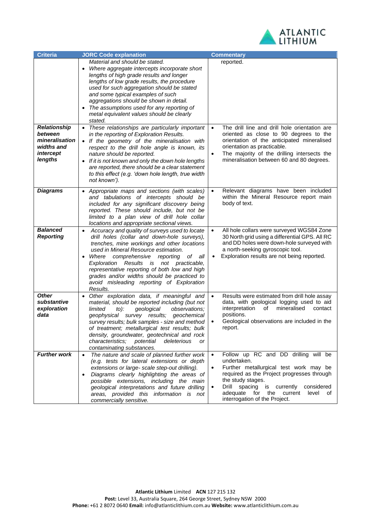

| Criteria                                                                               | <b>JORC Code explanation</b>                                                                                                                                                                                                                                                                                                                                                                                                                              | <b>Commentary</b>                                                                                                                                                                                                                                                                                  |
|----------------------------------------------------------------------------------------|-----------------------------------------------------------------------------------------------------------------------------------------------------------------------------------------------------------------------------------------------------------------------------------------------------------------------------------------------------------------------------------------------------------------------------------------------------------|----------------------------------------------------------------------------------------------------------------------------------------------------------------------------------------------------------------------------------------------------------------------------------------------------|
|                                                                                        | Material and should be stated.<br>Where aggregate intercepts incorporate short<br>lengths of high grade results and longer<br>lengths of low grade results, the procedure<br>used for such aggregation should be stated<br>and some typical examples of such<br>aggregations should be shown in detail.<br>The assumptions used for any reporting of<br>$\bullet$<br>metal equivalent values should be clearly<br>stated.                                 | reported.                                                                                                                                                                                                                                                                                          |
| <b>Relationship</b><br>between<br>mineralisation<br>widths and<br>intercept<br>lengths | • These relationships are particularly important<br>in the reporting of Exploration Results.<br>• If the geometry of the mineralisation with<br>respect to the drill hole angle is known, its<br>nature should be reported.<br>If it is not known and only the down hole lengths<br>$\bullet$<br>are reported, there should be a clear statement<br>to this effect (e.g. 'down hole length, true width<br>not known').                                    | The drill line and drill hole orientation are<br>$\bullet$<br>oriented as close to 90 degrees to the<br>orientation of the anticipated mineralised<br>orientation as practicable.<br>The majority of the drilling intersects the<br>$\bullet$<br>mineralisation between 60 and 80 degrees.         |
| <b>Diagrams</b>                                                                        | • Appropriate maps and sections (with scales)<br>and tabulations of intercepts should be<br>included for any significant discovery being<br>reported. These should include, but not be<br>limited to a plan view of drill hole collar<br>locations and appropriate sectional views.                                                                                                                                                                       | Relevant diagrams have been included<br>$\bullet$<br>within the Mineral Resource report main<br>body of text.                                                                                                                                                                                      |
| <b>Balanced</b><br><b>Reporting</b>                                                    | Accuracy and quality of surveys used to locate<br>$\bullet$<br>drill holes (collar and down-hole surveys),<br>trenches, mine workings and other locations<br>used in Mineral Resource estimation.<br>comprehensive<br>reporting<br>Where<br>of<br>all<br>Exploration Results is not practicable,<br>representative reporting of both low and high<br>grades and/or widths should be practiced to<br>avoid misleading reporting of Exploration<br>Results. | All hole collars were surveyed WGS84 Zone<br>$\bullet$<br>30 North grid using a differential GPS. All RC<br>and DD holes were down-hole surveyed with<br>a north-seeking gyroscopic tool.<br>Exploration results are not being reported.<br>$\bullet$                                              |
| <b>Other</b><br>substantive<br>exploration<br>data                                     | · Other exploration data, if meaningful and<br>material, should be reported including (but not<br>geological<br>observations:<br>limited<br>$to)$ :<br>geophysical survey results; geochemical<br>survey results; bulk samples - size and method<br>of treatment; metallurgical test results; bulk<br>density, groundwater, geotechnical and rock<br>characteristics; potential<br>deleterious<br>or<br>contaminating substances.                         | Results were estimated from drill hole assay<br>$\bullet$<br>data, with geological logging used to aid<br>interpretation<br>of<br>mineralised<br>contact<br>positions.<br>Geological observations are included in the<br>$\bullet$<br>report.                                                      |
| <b>Further work</b>                                                                    | The nature and scale of planned further work<br>$\bullet$<br>(e.g. tests for lateral extensions or depth<br>extensions or large- scale step-out drilling).<br>Diagrams clearly highlighting the areas of<br>possible extensions, including the main<br>geological interpretations and future drilling<br>areas, provided this information is not<br>commercially sensitive.                                                                               | Follow up RC and DD drilling will be<br>$\bullet$<br>undertaken.<br>Further metallurgical test work may be<br>required as the Project progresses through<br>the study stages.<br>Drill spacing is currently considered<br>adequate for the current<br>level<br>of<br>interrogation of the Project. |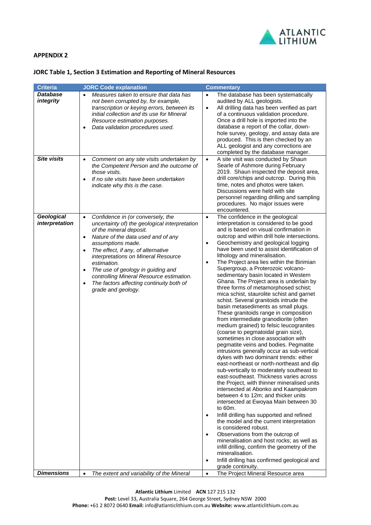

# **APPENDIX 2**

# **JORC Table 1, Section 3 Estimation and Reporting of Mineral Resources**

| Criteria                     | <b>JORC</b> Code explanation                                                                                                                                                                                                                                                                                                                                                                                                                                                     | <b>Commentary</b>                                                                                                                                                                                                                                                                                                                                                                                                                                                                                                                                                                                                                                                                                                                                                                                                                                                                                                                                                                                                                                                                                                                                                                                                                                                                                                                                                                                                                                                                                                                                                                                                                                                                                              |
|------------------------------|----------------------------------------------------------------------------------------------------------------------------------------------------------------------------------------------------------------------------------------------------------------------------------------------------------------------------------------------------------------------------------------------------------------------------------------------------------------------------------|----------------------------------------------------------------------------------------------------------------------------------------------------------------------------------------------------------------------------------------------------------------------------------------------------------------------------------------------------------------------------------------------------------------------------------------------------------------------------------------------------------------------------------------------------------------------------------------------------------------------------------------------------------------------------------------------------------------------------------------------------------------------------------------------------------------------------------------------------------------------------------------------------------------------------------------------------------------------------------------------------------------------------------------------------------------------------------------------------------------------------------------------------------------------------------------------------------------------------------------------------------------------------------------------------------------------------------------------------------------------------------------------------------------------------------------------------------------------------------------------------------------------------------------------------------------------------------------------------------------------------------------------------------------------------------------------------------------|
| <b>Database</b><br>integrity | Measures taken to ensure that data has<br>$\bullet$<br>not been corrupted by, for example,<br>transcription or keying errors, between its<br>initial collection and its use for Mineral<br>Resource estimation purposes.<br>Data validation procedures used.                                                                                                                                                                                                                     | The database has been systematically<br>$\bullet$<br>audited by ALL geologists.<br>All drilling data has been verified as part<br>$\bullet$<br>of a continuous validation procedure.<br>Once a drill hole is imported into the<br>database a report of the collar, down-<br>hole survey, geology, and assay data are<br>produced. This is then checked by an<br>ALL geologist and any corrections are<br>completed by the database manager.                                                                                                                                                                                                                                                                                                                                                                                                                                                                                                                                                                                                                                                                                                                                                                                                                                                                                                                                                                                                                                                                                                                                                                                                                                                                    |
| <b>Site visits</b>           | Comment on any site visits undertaken by<br>$\bullet$<br>the Competent Person and the outcome of<br>those visits.<br>If no site visits have been undertaken<br>indicate why this is the case.                                                                                                                                                                                                                                                                                    | A site visit was conducted by Shaun<br>$\bullet$<br>Searle of Ashmore during February<br>2019. Shaun inspected the deposit area,<br>drill core/chips and outcrop. During this<br>time, notes and photos were taken.<br>Discussions were held with site<br>personnel regarding drilling and sampling<br>procedures. No major issues were<br>encountered.                                                                                                                                                                                                                                                                                                                                                                                                                                                                                                                                                                                                                                                                                                                                                                                                                                                                                                                                                                                                                                                                                                                                                                                                                                                                                                                                                        |
| Geological<br>interpretation | Confidence in (or conversely, the<br>$\bullet$<br>uncertainty of) the geological interpretation<br>of the mineral deposit.<br>Nature of the data used and of any<br>$\bullet$<br>assumptions made.<br>The effect, if any, of alternative<br>$\bullet$<br>interpretations on Mineral Resource<br>estimation.<br>The use of geology in guiding and<br>٠<br>controlling Mineral Resource estimation.<br>The factors affecting continuity both of<br>$\bullet$<br>grade and geology. | The confidence in the geological<br>$\bullet$<br>interpretation is considered to be good<br>and is based on visual confirmation in<br>outcrop and within drill hole intersections.<br>Geochemistry and geological logging<br>$\bullet$<br>have been used to assist identification of<br>lithology and mineralisation.<br>The Project area lies within the Birimian<br>$\bullet$<br>Supergroup, a Proterozoic volcano-<br>sedimentary basin located in Western<br>Ghana. The Project area is underlain by<br>three forms of metamorphosed schist;<br>mica schist, staurolite schist and garnet<br>schist. Several granitoids intrude the<br>basin metasediments as small plugs.<br>These granitoids range in composition<br>from intermediate granodiorite (often<br>medium grained) to felsic leucogranites<br>(coarse to pegmatoidal grain size),<br>sometimes in close association with<br>pegmatite veins and bodies. Pegmatite<br>intrusions generally occur as sub-vertical<br>dykes with two dominant trends: either<br>east-northeast or north-northeast and dip<br>sub-vertically to moderately southeast to<br>east-southeast. Thickness varies across<br>the Project, with thinner mineralised units<br>intersected at Abonko and Kaampakrom<br>between 4 to 12m; and thicker units<br>intersected at Ewoyaa Main between 30<br>to 60m.<br>Infill drilling has supported and refined<br>$\bullet$<br>the model and the current interpretation<br>is considered robust.<br>Observations from the outcrop of<br>$\bullet$<br>mineralisation and host rocks; as well as<br>infill drilling, confirm the geometry of the<br>mineralisation.<br>Infill drilling has confirmed geological and<br>$\bullet$ |
| <b>Dimensions</b>            | The extent and variability of the Mineral<br>$\bullet$                                                                                                                                                                                                                                                                                                                                                                                                                           | grade continuity.<br>The Project Mineral Resource area<br>$\bullet$                                                                                                                                                                                                                                                                                                                                                                                                                                                                                                                                                                                                                                                                                                                                                                                                                                                                                                                                                                                                                                                                                                                                                                                                                                                                                                                                                                                                                                                                                                                                                                                                                                            |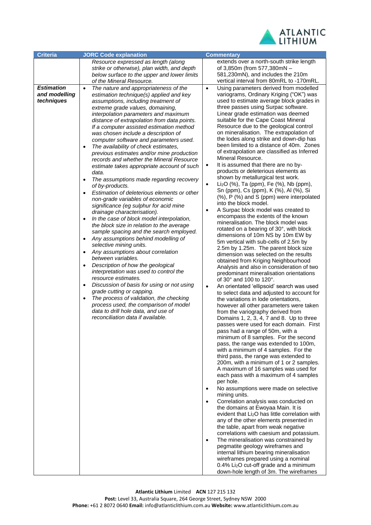

| <b>Criteria</b>                                  | <b>JORC Code explanation</b>                                                                                                                                                                                                                                                                                                                                                                                                                                                                                                                                                                                                                                                                                                                                                                                                                                                                                                                                                                                                                                                                                                                                                                                                                                                                                                                                                                                                                                                         | <b>Commentary</b>                                                                                                                                                                                                                                                                                                                                                                                                                                                                                                                                                                                                                                                                                                                                                                                                                                                                                                                                                                                                                                                                                                                                                                                                                                                                                                                                                                                                                                                                                                                                                                                                                                                                                                                                                                                                                                                                                                                                                                                                                                                                                                                                                                                                                                                                                                                                                                                                                                                                                                                                                                                                                                  |  |
|--------------------------------------------------|--------------------------------------------------------------------------------------------------------------------------------------------------------------------------------------------------------------------------------------------------------------------------------------------------------------------------------------------------------------------------------------------------------------------------------------------------------------------------------------------------------------------------------------------------------------------------------------------------------------------------------------------------------------------------------------------------------------------------------------------------------------------------------------------------------------------------------------------------------------------------------------------------------------------------------------------------------------------------------------------------------------------------------------------------------------------------------------------------------------------------------------------------------------------------------------------------------------------------------------------------------------------------------------------------------------------------------------------------------------------------------------------------------------------------------------------------------------------------------------|----------------------------------------------------------------------------------------------------------------------------------------------------------------------------------------------------------------------------------------------------------------------------------------------------------------------------------------------------------------------------------------------------------------------------------------------------------------------------------------------------------------------------------------------------------------------------------------------------------------------------------------------------------------------------------------------------------------------------------------------------------------------------------------------------------------------------------------------------------------------------------------------------------------------------------------------------------------------------------------------------------------------------------------------------------------------------------------------------------------------------------------------------------------------------------------------------------------------------------------------------------------------------------------------------------------------------------------------------------------------------------------------------------------------------------------------------------------------------------------------------------------------------------------------------------------------------------------------------------------------------------------------------------------------------------------------------------------------------------------------------------------------------------------------------------------------------------------------------------------------------------------------------------------------------------------------------------------------------------------------------------------------------------------------------------------------------------------------------------------------------------------------------------------------------------------------------------------------------------------------------------------------------------------------------------------------------------------------------------------------------------------------------------------------------------------------------------------------------------------------------------------------------------------------------------------------------------------------------------------------------------------------------|--|
|                                                  | Resource expressed as length (along<br>strike or otherwise), plan width, and depth                                                                                                                                                                                                                                                                                                                                                                                                                                                                                                                                                                                                                                                                                                                                                                                                                                                                                                                                                                                                                                                                                                                                                                                                                                                                                                                                                                                                   | extends over a north-south strike length<br>of 3,850m (from 577,380mN -                                                                                                                                                                                                                                                                                                                                                                                                                                                                                                                                                                                                                                                                                                                                                                                                                                                                                                                                                                                                                                                                                                                                                                                                                                                                                                                                                                                                                                                                                                                                                                                                                                                                                                                                                                                                                                                                                                                                                                                                                                                                                                                                                                                                                                                                                                                                                                                                                                                                                                                                                                            |  |
|                                                  | below surface to the upper and lower limits                                                                                                                                                                                                                                                                                                                                                                                                                                                                                                                                                                                                                                                                                                                                                                                                                                                                                                                                                                                                                                                                                                                                                                                                                                                                                                                                                                                                                                          | 581,230mN), and includes the 210m                                                                                                                                                                                                                                                                                                                                                                                                                                                                                                                                                                                                                                                                                                                                                                                                                                                                                                                                                                                                                                                                                                                                                                                                                                                                                                                                                                                                                                                                                                                                                                                                                                                                                                                                                                                                                                                                                                                                                                                                                                                                                                                                                                                                                                                                                                                                                                                                                                                                                                                                                                                                                  |  |
|                                                  | of the Mineral Resource.                                                                                                                                                                                                                                                                                                                                                                                                                                                                                                                                                                                                                                                                                                                                                                                                                                                                                                                                                                                                                                                                                                                                                                                                                                                                                                                                                                                                                                                             | vertical interval from 80mRL to -170mRL.                                                                                                                                                                                                                                                                                                                                                                                                                                                                                                                                                                                                                                                                                                                                                                                                                                                                                                                                                                                                                                                                                                                                                                                                                                                                                                                                                                                                                                                                                                                                                                                                                                                                                                                                                                                                                                                                                                                                                                                                                                                                                                                                                                                                                                                                                                                                                                                                                                                                                                                                                                                                           |  |
| <b>Estimation</b><br>and modelling<br>techniques | The nature and appropriateness of the<br>$\bullet$<br>estimation technique(s) applied and key<br>assumptions, including treatment of<br>extreme grade values, domaining,<br>interpolation parameters and maximum<br>distance of extrapolation from data points.<br>If a computer assisted estimation method<br>was chosen include a description of<br>computer software and parameters used.<br>The availability of check estimates,<br>$\bullet$<br>previous estimates and/or mine production<br>records and whether the Mineral Resource<br>estimate takes appropriate account of such<br>data.<br>The assumptions made regarding recovery<br>$\bullet$<br>of by-products.<br>Estimation of deleterious elements or other<br>non-grade variables of economic<br>significance (eg sulphur for acid mine<br>drainage characterisation).<br>In the case of block model interpolation,<br>the block size in relation to the average<br>sample spacing and the search employed.<br>Any assumptions behind modelling of<br>$\bullet$<br>selective mining units.<br>Any assumptions about correlation<br>between variables.<br>Description of how the geological<br>interpretation was used to control the<br>resource estimates.<br>Discussion of basis for using or not using<br>$\bullet$<br>grade cutting or capping.<br>The process of validation, the checking<br>process used, the comparison of model<br>data to drill hole data, and use of<br>reconciliation data if available. | Using parameters derived from modelled<br>$\bullet$<br>variograms, Ordinary Kriging ("OK") was<br>used to estimate average block grades in<br>three passes using Surpac software.<br>Linear grade estimation was deemed<br>suitable for the Cape Coast Mineral<br>Resource due to the geological control<br>on mineralisation. The extrapolation of<br>the lodes along strike and down-dip has<br>been limited to a distance of 40m. Zones<br>of extrapolation are classified as Inferred<br>Mineral Resource.<br>It is assumed that there are no by-<br>$\bullet$<br>products or deleterious elements as<br>shown by metallurgical test work.<br>Li <sub>2</sub> O (%), Ta (ppm), Fe (%), Nb (ppm),<br>$\bullet$<br>Sn (ppm), Cs (ppm), K (%), Al (%), Si<br>(%), P (%) and S (ppm) were interpolated<br>into the block model.<br>A Surpac block model was created to<br>$\bullet$<br>encompass the extents of the known<br>mineralisation. The block model was<br>rotated on a bearing of 30°, with block<br>dimensions of 10m NS by 10m EW by<br>5m vertical with sub-cells of 2.5m by<br>2.5m by 1.25m. The parent block size<br>dimension was selected on the results<br>obtained from Kriging Neighbourhood<br>Analysis and also in consideration of two<br>predominant mineralisation orientations<br>of 30° and 100 to 120°.<br>An orientated 'ellipsoid' search was used<br>$\bullet$<br>to select data and adjusted to account for<br>the variations in lode orientations,<br>however all other parameters were taken<br>from the variography derived from<br>Domains 1, 2, 3, 4, 7 and 8. Up to three<br>passes were used for each domain. First<br>pass had a range of 50m, with a<br>minimum of 8 samples. For the second<br>pass, the range was extended to 100m,<br>with a minimum of 4 samples. For the<br>third pass, the range was extended to<br>200m, with a minimum of 1 or 2 samples.<br>A maximum of 16 samples was used for<br>each pass with a maximum of 4 samples<br>per hole.<br>No assumptions were made on selective<br>$\bullet$<br>mining units.<br>Correlation analysis was conducted on<br>$\bullet$<br>the domains at Ewoyaa Main. It is<br>evident that Li <sub>2</sub> O has little correlation with<br>any of the other elements presented in<br>the table, apart from weak negative<br>correlations with caesium and potassium.<br>The mineralisation was constrained by<br>$\bullet$<br>pegmatite geology wireframes and<br>internal lithium bearing mineralisation<br>wireframes prepared using a nominal<br>0.4% Li <sub>2</sub> O cut-off grade and a minimum<br>down-hole length of 3m. The wireframes |  |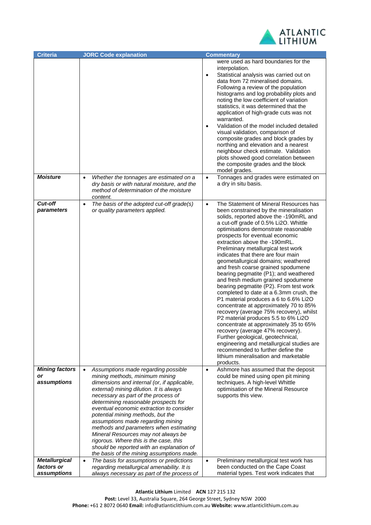

| <b>Criteria</b>                                   | <b>JORC Code explanation</b>                                                                                                                                                                                                                                                                                                                                                                                                                                                                                                                                                                           | <b>Commentary</b>                                                                                                                                                                                                                                                                                                                                                                                                                                                                                                                                                                                                                                                                                                                                                                                                                                                                                                                                                                                                                                          |
|---------------------------------------------------|--------------------------------------------------------------------------------------------------------------------------------------------------------------------------------------------------------------------------------------------------------------------------------------------------------------------------------------------------------------------------------------------------------------------------------------------------------------------------------------------------------------------------------------------------------------------------------------------------------|------------------------------------------------------------------------------------------------------------------------------------------------------------------------------------------------------------------------------------------------------------------------------------------------------------------------------------------------------------------------------------------------------------------------------------------------------------------------------------------------------------------------------------------------------------------------------------------------------------------------------------------------------------------------------------------------------------------------------------------------------------------------------------------------------------------------------------------------------------------------------------------------------------------------------------------------------------------------------------------------------------------------------------------------------------|
|                                                   |                                                                                                                                                                                                                                                                                                                                                                                                                                                                                                                                                                                                        | were used as hard boundaries for the<br>interpolation.<br>Statistical analysis was carried out on<br>$\bullet$<br>data from 72 mineralised domains.<br>Following a review of the population<br>histograms and log probability plots and<br>noting the low coefficient of variation<br>statistics, it was determined that the<br>application of high-grade cuts was not<br>warranted.<br>Validation of the model included detailed<br>$\bullet$<br>visual validation, comparison of<br>composite grades and block grades by<br>northing and elevation and a nearest<br>neighbour check estimate. Validation<br>plots showed good correlation between<br>the composite grades and the block<br>model grades.                                                                                                                                                                                                                                                                                                                                                 |
| <b>Moisture</b>                                   | Whether the tonnages are estimated on a<br>$\bullet$<br>dry basis or with natural moisture, and the<br>method of determination of the moisture<br>content.                                                                                                                                                                                                                                                                                                                                                                                                                                             | Tonnages and grades were estimated on<br>$\bullet$<br>a dry in situ basis.                                                                                                                                                                                                                                                                                                                                                                                                                                                                                                                                                                                                                                                                                                                                                                                                                                                                                                                                                                                 |
| Cut-off<br>parameters                             | The basis of the adopted cut-off grade(s)<br>$\bullet$<br>or quality parameters applied.                                                                                                                                                                                                                                                                                                                                                                                                                                                                                                               | The Statement of Mineral Resources has<br>$\bullet$<br>been constrained by the mineralisation<br>solids, reported above the -190mRL and<br>a cut-off grade of 0.5% Li2O. Whittle<br>optimisations demonstrate reasonable<br>prospects for eventual economic<br>extraction above the -190mRL.<br>Preliminary metallurgical test work<br>indicates that there are four main<br>geometallurgical domains; weathered<br>and fresh coarse grained spodumene<br>bearing pegmatite (P1); and weathered<br>and fresh medium grained spodumene<br>bearing pegmatite (P2). From test work<br>completed to date at a 6.3mm crush, the<br>P1 material produces a 6 to 6.6% Li2O<br>concentrate at approximately 70 to 85%<br>recovery (average 75% recovery), whilst<br>P2 material produces 5.5 to 6% Li2O<br>concentrate at approximately 35 to 65%<br>recovery (average 47% recovery).<br>Further geological, geotechnical,<br>engineering and metallurgical studies are<br>recommended to further define the<br>lithium mineralisation and marketable<br>products. |
| <b>Mining factors</b><br>or<br>assumptions        | Assumptions made regarding possible<br>$\bullet$<br>mining methods, minimum mining<br>dimensions and internal (or, if applicable,<br>external) mining dilution. It is always<br>necessary as part of the process of<br>determining reasonable prospects for<br>eventual economic extraction to consider<br>potential mining methods, but the<br>assumptions made regarding mining<br>methods and parameters when estimating<br>Mineral Resources may not always be<br>rigorous. Where this is the case, this<br>should be reported with an explanation of<br>the basis of the mining assumptions made. | Ashmore has assumed that the deposit<br>$\bullet$<br>could be mined using open pit mining<br>techniques. A high-level Whittle<br>optimisation of the Mineral Resource<br>supports this view.                                                                                                                                                                                                                                                                                                                                                                                                                                                                                                                                                                                                                                                                                                                                                                                                                                                               |
| <b>Metallurgical</b><br>factors or<br>assumptions | The basis for assumptions or predictions<br>$\bullet$<br>regarding metallurgical amenability. It is                                                                                                                                                                                                                                                                                                                                                                                                                                                                                                    | Preliminary metallurgical test work has<br>$\bullet$<br>been conducted on the Cape Coast<br>material types. Test work indicates that                                                                                                                                                                                                                                                                                                                                                                                                                                                                                                                                                                                                                                                                                                                                                                                                                                                                                                                       |
|                                                   | always necessary as part of the process of                                                                                                                                                                                                                                                                                                                                                                                                                                                                                                                                                             |                                                                                                                                                                                                                                                                                                                                                                                                                                                                                                                                                                                                                                                                                                                                                                                                                                                                                                                                                                                                                                                            |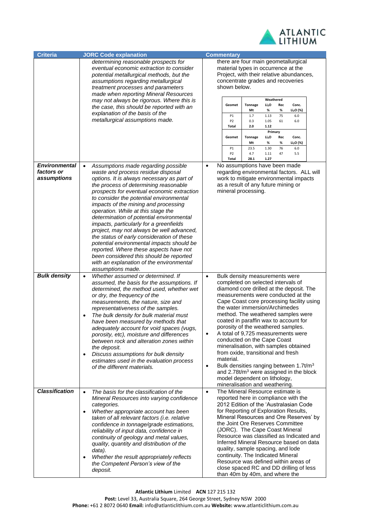

| <b>Criteria</b>                                   | <b>JORC Code explanation</b>                                                                                                                                                                                                                                                                                                                                                                                                                                                                                                                                                                                                                                                                                                              | <b>Commentary</b>                                                                                                                                                                                                                                                                                                                                                                                                                                                                                                                                                                                                                                                                                                                                  |
|---------------------------------------------------|-------------------------------------------------------------------------------------------------------------------------------------------------------------------------------------------------------------------------------------------------------------------------------------------------------------------------------------------------------------------------------------------------------------------------------------------------------------------------------------------------------------------------------------------------------------------------------------------------------------------------------------------------------------------------------------------------------------------------------------------|----------------------------------------------------------------------------------------------------------------------------------------------------------------------------------------------------------------------------------------------------------------------------------------------------------------------------------------------------------------------------------------------------------------------------------------------------------------------------------------------------------------------------------------------------------------------------------------------------------------------------------------------------------------------------------------------------------------------------------------------------|
|                                                   | determining reasonable prospects for<br>eventual economic extraction to consider<br>potential metallurgical methods, but the<br>assumptions regarding metallurgical<br>treatment processes and parameters<br>made when reporting Mineral Resources<br>may not always be rigorous. Where this is                                                                                                                                                                                                                                                                                                                                                                                                                                           | there are four main geometallurgical<br>material types in occurrence at the<br>Project, with their relative abundances,<br>concentrate grades and recoveries<br>shown below.<br>Weathered                                                                                                                                                                                                                                                                                                                                                                                                                                                                                                                                                          |
|                                                   | the case, this should be reported with an<br>explanation of the basis of the<br>metallurgical assumptions made.                                                                                                                                                                                                                                                                                                                                                                                                                                                                                                                                                                                                                           | Li <sub>2</sub> O<br>Geomet<br><b>Tonnage</b><br>Rec<br>Conc.<br>$\%$<br>Li <sub>2</sub> O (%)<br>Mt<br>%<br>75<br>P1<br>1.7<br>1.13<br>$6.0$<br>P <sub>2</sub><br>0.3<br>1.05<br>61<br>6.0<br>2.0<br>1.12<br>Total<br>Primary<br>Li <sub>2</sub> O<br>Geomet<br><b>Tonnage</b><br>Rec<br>Conc.<br>Li <sub>2</sub> O (%)<br>Mt<br>%<br>%<br>$6.0$<br>P1<br>23.5<br>1.30<br>76                                                                                                                                                                                                                                                                                                                                                                      |
|                                                   |                                                                                                                                                                                                                                                                                                                                                                                                                                                                                                                                                                                                                                                                                                                                           | P <sub>2</sub><br>47<br>5.5<br>4.7<br>1.11<br>28.1<br>1.27<br>Total                                                                                                                                                                                                                                                                                                                                                                                                                                                                                                                                                                                                                                                                                |
| <b>Environmental</b><br>factors or<br>assumptions | Assumptions made regarding possible<br>$\bullet$<br>waste and process residue disposal<br>options. It is always necessary as part of<br>the process of determining reasonable<br>prospects for eventual economic extraction<br>to consider the potential environmental<br>impacts of the mining and processing<br>operation. While at this stage the<br>determination of potential environmental<br>impacts, particularly for a greenfields<br>project, may not always be well advanced,<br>the status of early consideration of these<br>potential environmental impacts should be<br>reported. Where these aspects have not<br>been considered this should be reported<br>with an explanation of the environmental<br>assumptions made. | No assumptions have been made<br>$\bullet$<br>regarding environmental factors. ALL will<br>work to mitigate environmental impacts<br>as a result of any future mining or<br>mineral processing.                                                                                                                                                                                                                                                                                                                                                                                                                                                                                                                                                    |
| <b>Bulk density</b>                               | Whether assumed or determined. If<br>$\bullet$<br>assumed, the basis for the assumptions. If<br>determined, the method used, whether wet<br>or dry, the frequency of the<br>measurements, the nature, size and<br>representativeness of the samples.<br>The bulk density for bulk material must<br>$\bullet$<br>have been measured by methods that<br>adequately account for void spaces (vugs,<br>porosity, etc), moisture and differences<br>between rock and alteration zones within<br>the deposit.<br>Discuss assumptions for bulk density<br>estimates used in the evaluation process<br>of the different materials.                                                                                                                | Bulk density measurements were<br>$\bullet$<br>completed on selected intervals of<br>diamond core drilled at the deposit. The<br>measurements were conducted at the<br>Cape Coast core processing facility using<br>the water immersion/Archimedes<br>method. The weathered samples were<br>coated in paraffin wax to account for<br>porosity of the weathered samples.<br>A total of 9,725 measurements were<br>$\bullet$<br>conducted on the Cape Coast<br>mineralisation, with samples obtained<br>from oxide, transitional and fresh<br>material.<br>Bulk densities ranging between 1.7t/m <sup>3</sup><br>$\bullet$<br>and 2.78t/m <sup>3</sup> were assigned in the block<br>model dependent on lithology,<br>mineralisation and weathering. |
| <b>Classification</b>                             | The basis for the classification of the<br>$\bullet$<br>Mineral Resources into varying confidence<br>categories.<br>Whether appropriate account has been<br>$\bullet$<br>taken of all relevant factors (i.e. relative<br>confidence in tonnage/grade estimations,<br>reliability of input data, confidence in<br>continuity of geology and metal values,<br>quality, quantity and distribution of the<br>data).<br>Whether the result appropriately reflects<br>the Competent Person's view of the<br>deposit.                                                                                                                                                                                                                            | The Mineral Resource estimate is<br>$\bullet$<br>reported here in compliance with the<br>2012 Edition of the 'Australasian Code<br>for Reporting of Exploration Results,<br>Mineral Resources and Ore Reserves' by<br>the Joint Ore Reserves Committee<br>(JORC). The Cape Coast Mineral<br>Resource was classified as Indicated and<br>Inferred Mineral Resource based on data<br>quality, sample spacing, and lode<br>continuity. The Indicated Mineral<br>Resource was defined within areas of<br>close spaced RC and DD drilling of less<br>than 40m by 40m, and where the                                                                                                                                                                     |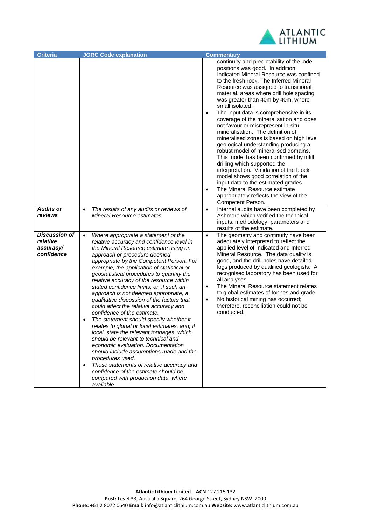

| <b>Criteria</b>                                             | <b>JORC Code explanation</b>                                                                                                                                                                                                                                                                                                                                                                                                                                                                                                                                                                                                                                                                                                                                                                                                                                                                                                                                                                                         | <b>Commentary</b>                                                                                                                                                                                                                                                                                                                                                                                                                                                                                                                                                                                                                                                                                                                                                                                                                                                                                                                           |
|-------------------------------------------------------------|----------------------------------------------------------------------------------------------------------------------------------------------------------------------------------------------------------------------------------------------------------------------------------------------------------------------------------------------------------------------------------------------------------------------------------------------------------------------------------------------------------------------------------------------------------------------------------------------------------------------------------------------------------------------------------------------------------------------------------------------------------------------------------------------------------------------------------------------------------------------------------------------------------------------------------------------------------------------------------------------------------------------|---------------------------------------------------------------------------------------------------------------------------------------------------------------------------------------------------------------------------------------------------------------------------------------------------------------------------------------------------------------------------------------------------------------------------------------------------------------------------------------------------------------------------------------------------------------------------------------------------------------------------------------------------------------------------------------------------------------------------------------------------------------------------------------------------------------------------------------------------------------------------------------------------------------------------------------------|
|                                                             |                                                                                                                                                                                                                                                                                                                                                                                                                                                                                                                                                                                                                                                                                                                                                                                                                                                                                                                                                                                                                      | continuity and predictability of the lode<br>positions was good. In addition,<br>Indicated Mineral Resource was confined<br>to the fresh rock. The Inferred Mineral<br>Resource was assigned to transitional<br>material, areas where drill hole spacing<br>was greater than 40m by 40m, where<br>small isolated.<br>The input data is comprehensive in its<br>$\bullet$<br>coverage of the mineralisation and does<br>not favour or misrepresent in-situ<br>mineralisation. The definition of<br>mineralised zones is based on high level<br>geological understanding producing a<br>robust model of mineralised domains.<br>This model has been confirmed by infill<br>drilling which supported the<br>interpretation. Validation of the block<br>model shows good correlation of the<br>input data to the estimated grades.<br>The Mineral Resource estimate<br>$\bullet$<br>appropriately reflects the view of the<br>Competent Person. |
| <b>Audits or</b><br>reviews                                 | The results of any audits or reviews of<br>$\bullet$<br>Mineral Resource estimates.                                                                                                                                                                                                                                                                                                                                                                                                                                                                                                                                                                                                                                                                                                                                                                                                                                                                                                                                  | Internal audits have been completed by<br>$\bullet$<br>Ashmore which verified the technical<br>inputs, methodology, parameters and<br>results of the estimate.                                                                                                                                                                                                                                                                                                                                                                                                                                                                                                                                                                                                                                                                                                                                                                              |
| <b>Discussion of</b><br>relative<br>accuracy/<br>confidence | Where appropriate a statement of the<br>$\bullet$<br>relative accuracy and confidence level in<br>the Mineral Resource estimate using an<br>approach or procedure deemed<br>appropriate by the Competent Person. For<br>example, the application of statistical or<br>geostatistical procedures to quantify the<br>relative accuracy of the resource within<br>stated confidence limits, or, if such an<br>approach is not deemed appropriate, a<br>qualitative discussion of the factors that<br>could affect the relative accuracy and<br>confidence of the estimate.<br>The statement should specify whether it<br>relates to global or local estimates, and, if<br>local, state the relevant tonnages, which<br>should be relevant to technical and<br>economic evaluation. Documentation<br>should include assumptions made and the<br>procedures used.<br>These statements of relative accuracy and<br>$\bullet$<br>confidence of the estimate should be<br>compared with production data, where<br>available. | The geometry and continuity have been<br>$\bullet$<br>adequately interpreted to reflect the<br>applied level of Indicated and Inferred<br>Mineral Resource. The data quality is<br>good, and the drill holes have detailed<br>logs produced by qualified geologists. A<br>recognised laboratory has been used for<br>all analyses.<br>The Mineral Resource statement relates<br>$\bullet$<br>to global estimates of tonnes and grade.<br>No historical mining has occurred;<br>$\bullet$<br>therefore, reconciliation could not be<br>conducted.                                                                                                                                                                                                                                                                                                                                                                                            |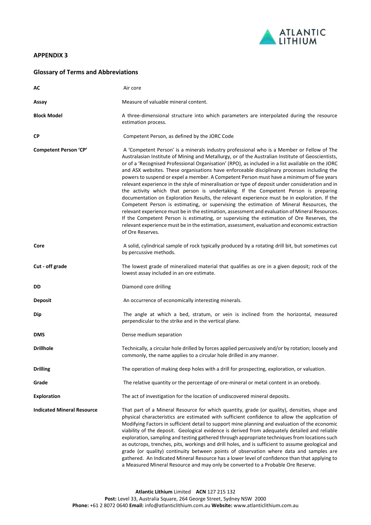

## **APPENDIX 3**

# **Glossary of Terms and Abbreviations**

| AC                                | Air core                                                                                                                                                                                                                                                                                                                                                                                                                                                                                                                                                                                                                                                                                                                                                                                                                                                                                                                                                                                                                                                                                                                                                                                                  |
|-----------------------------------|-----------------------------------------------------------------------------------------------------------------------------------------------------------------------------------------------------------------------------------------------------------------------------------------------------------------------------------------------------------------------------------------------------------------------------------------------------------------------------------------------------------------------------------------------------------------------------------------------------------------------------------------------------------------------------------------------------------------------------------------------------------------------------------------------------------------------------------------------------------------------------------------------------------------------------------------------------------------------------------------------------------------------------------------------------------------------------------------------------------------------------------------------------------------------------------------------------------|
| Assay                             | Measure of valuable mineral content.                                                                                                                                                                                                                                                                                                                                                                                                                                                                                                                                                                                                                                                                                                                                                                                                                                                                                                                                                                                                                                                                                                                                                                      |
| <b>Block Model</b>                | A three-dimensional structure into which parameters are interpolated during the resource<br>estimation process.                                                                                                                                                                                                                                                                                                                                                                                                                                                                                                                                                                                                                                                                                                                                                                                                                                                                                                                                                                                                                                                                                           |
| СP                                | Competent Person, as defined by the JORC Code                                                                                                                                                                                                                                                                                                                                                                                                                                                                                                                                                                                                                                                                                                                                                                                                                                                                                                                                                                                                                                                                                                                                                             |
| <b>Competent Person 'CP'</b>      | A 'Competent Person' is a minerals industry professional who is a Member or Fellow of The<br>Australasian Institute of Mining and Metallurgy, or of the Australian Institute of Geoscientists,<br>or of a 'Recognised Professional Organisation' (RPO), as included in a list available on the JORC<br>and ASX websites. These organisations have enforceable disciplinary processes including the<br>powers to suspend or expel a member. A Competent Person must have a minimum of five years<br>relevant experience in the style of mineralisation or type of deposit under consideration and in<br>the activity which that person is undertaking. If the Competent Person is preparing<br>documentation on Exploration Results, the relevant experience must be in exploration. If the<br>Competent Person is estimating, or supervising the estimation of Mineral Resources, the<br>relevant experience must be in the estimation, assessment and evaluation of Mineral Resources.<br>If the Competent Person is estimating, or supervising the estimation of Ore Reserves, the<br>relevant experience must be in the estimation, assessment, evaluation and economic extraction<br>of Ore Reserves. |
| Core                              | A solid, cylindrical sample of rock typically produced by a rotating drill bit, but sometimes cut<br>by percussive methods.                                                                                                                                                                                                                                                                                                                                                                                                                                                                                                                                                                                                                                                                                                                                                                                                                                                                                                                                                                                                                                                                               |
| Cut - off grade                   | The lowest grade of mineralized material that qualifies as ore in a given deposit; rock of the<br>lowest assay included in an ore estimate.                                                                                                                                                                                                                                                                                                                                                                                                                                                                                                                                                                                                                                                                                                                                                                                                                                                                                                                                                                                                                                                               |
| DD                                | Diamond core drilling                                                                                                                                                                                                                                                                                                                                                                                                                                                                                                                                                                                                                                                                                                                                                                                                                                                                                                                                                                                                                                                                                                                                                                                     |
| <b>Deposit</b>                    | An occurrence of economically interesting minerals.                                                                                                                                                                                                                                                                                                                                                                                                                                                                                                                                                                                                                                                                                                                                                                                                                                                                                                                                                                                                                                                                                                                                                       |
| Dip                               | The angle at which a bed, stratum, or vein is inclined from the horizontal, measured<br>perpendicular to the strike and in the vertical plane.                                                                                                                                                                                                                                                                                                                                                                                                                                                                                                                                                                                                                                                                                                                                                                                                                                                                                                                                                                                                                                                            |
| <b>DMS</b>                        | Dense medium separation                                                                                                                                                                                                                                                                                                                                                                                                                                                                                                                                                                                                                                                                                                                                                                                                                                                                                                                                                                                                                                                                                                                                                                                   |
| <b>Drillhole</b>                  | Technically, a circular hole drilled by forces applied percussively and/or by rotation; loosely and<br>commonly, the name applies to a circular hole drilled in any manner.                                                                                                                                                                                                                                                                                                                                                                                                                                                                                                                                                                                                                                                                                                                                                                                                                                                                                                                                                                                                                               |
| <b>Drilling</b>                   | The operation of making deep holes with a drill for prospecting, exploration, or valuation.                                                                                                                                                                                                                                                                                                                                                                                                                                                                                                                                                                                                                                                                                                                                                                                                                                                                                                                                                                                                                                                                                                               |
| Grade                             | The relative quantity or the percentage of ore-mineral or metal content in an orebody.                                                                                                                                                                                                                                                                                                                                                                                                                                                                                                                                                                                                                                                                                                                                                                                                                                                                                                                                                                                                                                                                                                                    |
| <b>Exploration</b>                | The act of investigation for the location of undiscovered mineral deposits.                                                                                                                                                                                                                                                                                                                                                                                                                                                                                                                                                                                                                                                                                                                                                                                                                                                                                                                                                                                                                                                                                                                               |
| <b>Indicated Mineral Resource</b> | That part of a Mineral Resource for which quantity, grade (or quality), densities, shape and<br>physical characteristics are estimated with sufficient confidence to allow the application of<br>Modifying Factors in sufficient detail to support mine planning and evaluation of the economic<br>viability of the deposit. Geological evidence is derived from adequately detailed and reliable<br>exploration, sampling and testing gathered through appropriate techniques from locations such<br>as outcrops, trenches, pits, workings and drill holes, and is sufficient to assume geological and<br>grade (or quality) continuity between points of observation where data and samples are<br>gathered. An Indicated Mineral Resource has a lower level of confidence than that applying to<br>a Measured Mineral Resource and may only be converted to a Probable Ore Reserve.                                                                                                                                                                                                                                                                                                                    |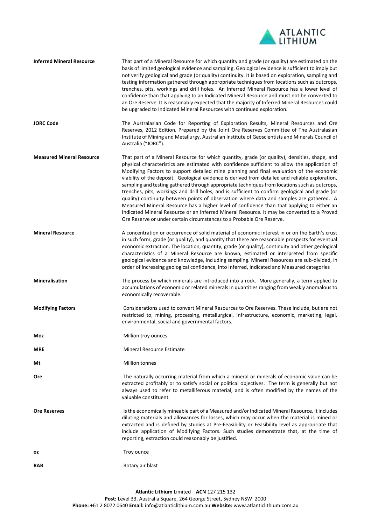

| <b>Inferred Mineral Resource</b> | That part of a Mineral Resource for which quantity and grade (or quality) are estimated on the<br>basis of limited geological evidence and sampling. Geological evidence is sufficient to imply but<br>not verify geological and grade (or quality) continuity. It is based on exploration, sampling and<br>testing information gathered through appropriate techniques from locations such as outcrops,<br>trenches, pits, workings and drill holes. An Inferred Mineral Resource has a lower level of<br>confidence than that applying to an Indicated Mineral Resource and must not be converted to<br>an Ore Reserve. It is reasonably expected that the majority of Inferred Mineral Resources could<br>be upgraded to Indicated Mineral Resources with continued exploration.                                                                                                                                                                                  |
|----------------------------------|----------------------------------------------------------------------------------------------------------------------------------------------------------------------------------------------------------------------------------------------------------------------------------------------------------------------------------------------------------------------------------------------------------------------------------------------------------------------------------------------------------------------------------------------------------------------------------------------------------------------------------------------------------------------------------------------------------------------------------------------------------------------------------------------------------------------------------------------------------------------------------------------------------------------------------------------------------------------|
| <b>JORC Code</b>                 | The Australasian Code for Reporting of Exploration Results, Mineral Resources and Ore<br>Reserves, 2012 Edition, Prepared by the Joint Ore Reserves Committee of The Australasian<br>Institute of Mining and Metallurgy, Australian Institute of Geoscientists and Minerals Council of<br>Australia ("JORC").                                                                                                                                                                                                                                                                                                                                                                                                                                                                                                                                                                                                                                                        |
| <b>Measured Mineral Resource</b> | That part of a Mineral Resource for which quantity, grade (or quality), densities, shape, and<br>physical characteristics are estimated with confidence sufficient to allow the application of<br>Modifying Factors to support detailed mine planning and final evaluation of the economic<br>viability of the deposit. Geological evidence is derived from detailed and reliable exploration,<br>sampling and testing gathered through appropriate techniques from locations such as outcrops,<br>trenches, pits, workings and drill holes, and is sufficient to confirm geological and grade (or<br>quality) continuity between points of observation where data and samples are gathered. A<br>Measured Mineral Resource has a higher level of confidence than that applying to either an<br>Indicated Mineral Resource or an Inferred Mineral Resource. It may be converted to a Proved<br>Ore Reserve or under certain circumstances to a Probable Ore Reserve. |
| <b>Mineral Resource</b>          | A concentration or occurrence of solid material of economic interest in or on the Earth's crust<br>in such form, grade (or quality), and quantity that there are reasonable prospects for eventual<br>economic extraction. The location, quantity, grade (or quality), continuity and other geological<br>characteristics of a Mineral Resource are known, estimated or interpreted from specific<br>geological evidence and knowledge, including sampling. Mineral Resources are sub-divided, in<br>order of increasing geological confidence, into Inferred, Indicated and Measured categories                                                                                                                                                                                                                                                                                                                                                                     |
| Mineralisation                   | The process by which minerals are introduced into a rock. More generally, a term applied to<br>accumulations of economic or related minerals in quantities ranging from weakly anomalous to<br>economically recoverable.                                                                                                                                                                                                                                                                                                                                                                                                                                                                                                                                                                                                                                                                                                                                             |
| <b>Modifying Factors</b>         | Considerations used to convert Mineral Resources to Ore Reserves. These include, but are not<br>restricted to, mining, processing, metallurgical, infrastructure, economic, marketing, legal,<br>environmental, social and governmental factors.                                                                                                                                                                                                                                                                                                                                                                                                                                                                                                                                                                                                                                                                                                                     |
| Moz                              | Million troy ounces                                                                                                                                                                                                                                                                                                                                                                                                                                                                                                                                                                                                                                                                                                                                                                                                                                                                                                                                                  |
| <b>MRE</b>                       | Mineral Resource Estimate                                                                                                                                                                                                                                                                                                                                                                                                                                                                                                                                                                                                                                                                                                                                                                                                                                                                                                                                            |
| Mt                               | <b>Million tonnes</b>                                                                                                                                                                                                                                                                                                                                                                                                                                                                                                                                                                                                                                                                                                                                                                                                                                                                                                                                                |
| Ore                              | The naturally occurring material from which a mineral or minerals of economic value can be<br>extracted profitably or to satisfy social or political objectives. The term is generally but not<br>always used to refer to metalliferous material, and is often modified by the names of the<br>valuable constituent.                                                                                                                                                                                                                                                                                                                                                                                                                                                                                                                                                                                                                                                 |
| <b>Ore Reserves</b>              | Is the economically mineable part of a Measured and/or Indicated Mineral Resource. It includes<br>diluting materials and allowances for losses, which may occur when the material is mined or<br>extracted and is defined by studies at Pre-Feasibility or Feasibility level as appropriate that<br>include application of Modifying Factors. Such studies demonstrate that, at the time of<br>reporting, extraction could reasonably be justified.                                                                                                                                                                                                                                                                                                                                                                                                                                                                                                                  |
| ΟZ                               | Troy ounce                                                                                                                                                                                                                                                                                                                                                                                                                                                                                                                                                                                                                                                                                                                                                                                                                                                                                                                                                           |
| <b>RAB</b>                       | Rotary air blast                                                                                                                                                                                                                                                                                                                                                                                                                                                                                                                                                                                                                                                                                                                                                                                                                                                                                                                                                     |